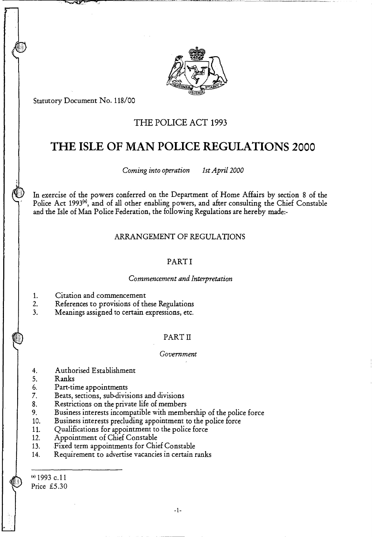

Statutory Document No. 118/00

 $\overline{\phantom{a}}$ 

# THE POLICE ACT 1993

# **THE ISLE OF MAN POLICE REGULATIONS 2000**

*Coming into operation 1st April 2000* 

In exercise of the powers conferred on the Department of Home Affairs by section 8 of the Police Act 1993<sup>(a)</sup>, and of all other enabling powers, and after consulting the Chief Constable and the Isle of Man Police Federation, the following Regulations are hereby made:-

## ARRANGEMENT OF REGULATIONS

## PART I

#### *Commencement and Interpretation*

- 1. Citation and commencement
- 2. References to provisions of these Regulations
- 3. Meanings assigned to certain expressions, etc.

#### PART II

#### *Government*

- 4. Authorised Establishment
- 5. Ranks
- 6. Part-time appointments<br>7. Beats, sections, sub-divis
- Beats, sections, sub-divisions and divisions
- 8. Restrictions on the private life of members<br>9. Business interests incompatible with memb
- Business interests incompatible with membership of the police force
- 10. Business interests precluding appointment to the police force<br>11. Qualifications for appointment to the police force
- 11. Qualifications for appointment to the police force<br>12. Appointment of Chief Constable
- Appointment of Chief Constable
- 13. Fixed term appointments for Chief Constable
- 14. Requirement to advertise vacancies in certain ranks

(a)  $1993$  c.11 Price £5.30

 $-1-$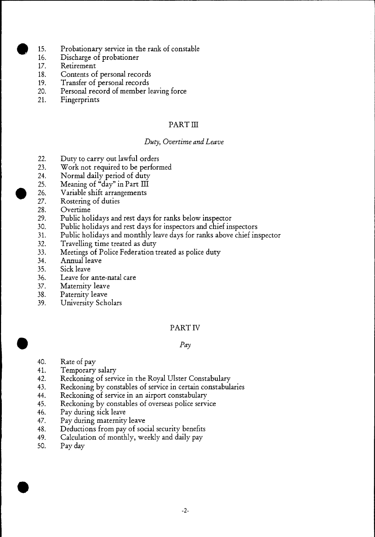- 15. Probationary service in the rank of constable<br>16. Discharge of probationer
- Discharge of probationer
- 17. Retirement
- 18. Contents of personal records
- 19. Transfer of personal records<br>20. Personal record of member l
- Personal record of member leaving force
- 21. Fingerprints

# PART III

# *Duty, Overtime and Leave*

- 22. Duty to carry out lawful orders
- 23. Work not required to be performed
- 24. Normal daily period of duty
- 25. Meaning of "day" in Part III
- 26. Variable shift arrangements<br>27. Rostering of duties
- Rostering of duties
- 28. Overtime
- 29. Public holidays and rest days for ranks below inspector
- 30. Public holidays and rest days for inspectors and chief inspectors
- 31. Public holidays and monthly leave days for ranks above chief inspector
- 32. Travelling time treated as duty<br>33. Meetings of Police Federation t
- Meetings of Police Federation treated as police duty
- 34. Annual leave
- 35. Sick leave
- 36. Leave for ante-natal care<br>37. Maternity leave
- 37. Maternity leave<br>38. Paternity leave
- Paternity leave
- 39. University Scholars

# PART IV

# *Pay*

- 40. Rate of pay<br>41. Temporary
- 41. Temporary salary<br>42. Reckoning of serv
- 42. Reckoning of service in the Royal Ulster Constabulary<br>43. Reckoning by constables of service in certain constabul
- Reckoning by constables of service in certain constabularies
- 44. Reckoning of service in an airport constabulary
- 45. Reckoning by constables of overseas police service
- 46. Pay during sick leave<br>47. Pay during maternity
- 47. Pay during maternity leave<br>48. Deductions from pay of soc
- 48. Deductions from pay of social security benefits<br>49. Calculation of monthly, weekly and daily pay
- Calculation of monthly, weekly and daily pay
- 50. Pay day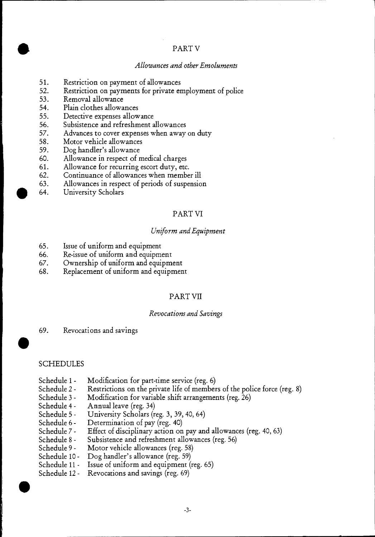# PART V

## *Allowances and other Emoluments*

- 51. Restriction on payment of allowances
- 52. Restriction on payments for private employment of police
- 53. Removal allowance
- 54. Plain clothes allowances
- 55. Detective expenses allowance<br>56. Subsistence and refreshment a
- Subsistence and refreshment allowances
- 57. Advances to cover expenses when away on duty
- 58. Motor vehicle allowances
- 59. Dog handler's allowance
- 60. Allowance in respect of medical charges
- 61. Allowance for recurring escort duty, etc.<br>62. Continuance of allowances when membe
- Continuance of allowances when member ill
- 63. Allowances in respect of periods of suspension
- 64. University Scholars

# PART VI

#### *Uniform and Equipment*

- 65. Issue of uniform and equipment
- 66. Re-issue of uniform and equipment
- 67. Ownership of uniform and equipment
- 68. Replacement of uniform and equipment

# PART VII

#### *Revocations and Savings*

69. Revocations and savings

#### SCHEDULES

- Schedule 1 Modification for part-time service (reg. 6)
- Schedule 2 Restrictions on the private life of members of the police force (reg. 8)<br>Schedule 3 Modification for variable shift arrangements (reg. 26)
- Modification for variable shift arrangements (reg. 26)
- Schedule 4 Annual leave (reg. 34)
- Schedule 5 University Scholars (reg. 3, 39, 40, 64)<br>Schedule 6 Determination of pay (reg. 40)
- Schedule 6 Determination of pay (reg. 40)<br>Schedule 7 Effect of disciplinary action on
- Schedule 7 Effect of disciplinary action on pay and allowances (reg. 40, 63)<br>Schedule 8 Subsistence and refreshment allowances (reg. 56)
- Schedule 8 Subsistence and refreshment allowances (reg. 56)<br>Schedule 9 Motor vehicle allowances (reg. 58)
- Motor vehicle allowances (reg. 58)
- Schedule 10 Dog handler's allowance (reg. 59)<br>Schedule 11 Issue of uniform and equipment (
- Issue of uniform and equipment (reg. 65)
- Schedule 12 Revocations and savings (reg. 69)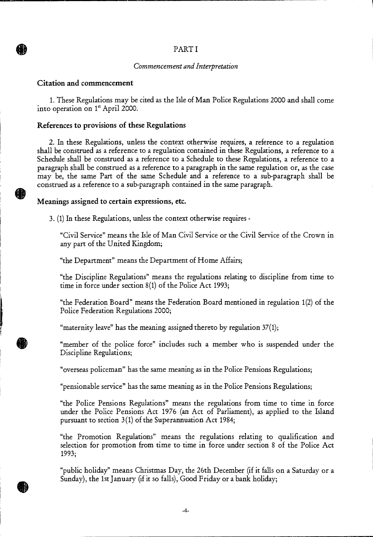# PART I

#### *Commencement and Interpretation*

## Citation and commencement

**AI)** 

1. These Regulations may be cited as the Isle of Man Police Regulations 2000 and shall come into operation on 1' April 2000.

#### References to provisions of these Regulations

2. In these Regulations, unless the context otherwise requires, a reference to a regulation shall be construed as a reference to a regulation contained in these Regulations, a reference to a Schedule shall be construed as a reference to a Schedule to these Regulations, a reference to a paragraph shall be construed as a reference to a paragraph in the same regulation or, as the case may be, the same Part of the same Schedule and a reference to a sub-paragraph shall be construed as a reference to a sub-paragraph contained in the same paragraph.

#### Meanings assigned to certain expressions, etc.

3. (1) In these Regulations, unless the context otherwise requires -

"Civil Service" means the Isle of Man Civil Service or the Civil Service of the Crown in any part of the United Kingdom;

"the Department" means the Department of Home Affairs;

"the Discipline Regulations" means the regulations relating to discipline from time to time in force under section 8(1) of the Police Act 1993;

"the Federation Board" means the Federation Board mentioned in regulation 1(2) of the Police Federation Regulations 2000;

"maternity leave" has the meaning assigned thereto by regulation 37(1);

"member of the police force" includes such a member who is suspended under the Discipline Regulations;

"overseas policeman" has the same meaning as in the Police Pensions Regulations;

"pensionable service" has the same meaning as in the Police Pensions Regulations;

"the Police Pensions Regulations" means the regulations from time to time in force under the Police Pensions Act 1976 (an Act of Parliament), as applied to the Island pursuant to section 3(1) of the Superannuation Act 1984;

"the Promotion Regulations" means the regulations relating to qualification and selection for promotion from time to time in force under section 8 of the Police Act 1993;

"public holiday" means Christmas Day, the 26th December (if it falls on a Saturday or a Sunday), the 1st January (if it so falls), Good Friday or a bank holiday;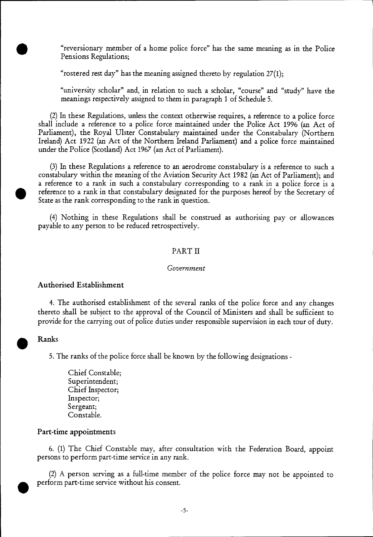"reversionary member of a home police force" has the same meaning as in the Police Pensions Regulations;

"rostered rest day" has the meaning assigned thereto by regulation 27(1);

"university scholar" and, in relation to such a scholar, "course" and "study" have the meanings respectively assigned to them in paragraph 1 of Schedule 5.

(2)In these Regulations, unless the context otherwise requires, a reference to a police force shall include a reference to a police force maintained under the Police Act 1996 (an Act of Parliament), the Royal Ulster Constabulary maintained under the Constabulary (Northern Ireland) Act 1922 (an Act of the Northern Ireland Parliament) and a police force maintained under the Police (Scotland) Act 1967 (an Act of Parliament).

(3)In these Regulations a reference to an aerodrome constabulary is a reference to such a constabulary within the meaning of the Aviation Security Act 1982 (an Act of Parliament); and a reference to a rank in such a constabulary corresponding to a rank in a police force is a reference to a rank in that constabulary designated for the purposes hereof by the Secretary of State as the rank corresponding to the rank in question.

(4) Nothing in these Regulations shall be construed as authorising pay or allowances payable to any person to be reduced retrospectively.

#### PART II

#### *Government*

#### **Authorised Establishment**

4. The authorised establishment of the several ranks of the police force and any changes thereto shall be subject to the approval of the Council of Ministers and shall be sufficient to provide for the carrying out of police duties under responsible supervision in each tour of duty.

#### **Ranks**

5. The ranks of the police force shall be known by the following designations -

Chief Constable; Superintendent; Chief Inspector; Inspector; Sergeant; Constable.

#### **Part-time appointments**

6. (1) The Chief Constable may, after consultation with the Federation Board, appoint persons to perform part-time service in any rank.

 $\bullet$   $\circ$ (2) A person serving as a full-time member of the police force may not be appointed to perform part-time service without his consent.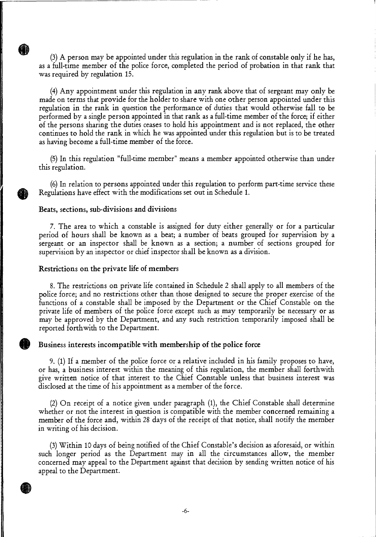$(3)$  A person may be appointed under this regulation in the rank of constable only if he has, as a full-time member of the police force, completed the period of probation in that rank that was required by regulation 15.

(4)Any appointment under this regulation in any rank above that of sergeant may only be made on terms that provide for the holder to share with one other person appointed under this regulation in the rank in question the performance of duties that would otherwise fall to be performed by a single person appointed in that rank as a full-time member of the force; if either of the persons sharing the duties ceases to hold his appointment and is not replaced, the other continues to hold the rank in which he was appointed under this regulation but is to be treated as having become a full-time member of the force.

(5)In this regulation "full-time member" means a member appointed otherwise than under this regulation.

(6)In relation to persons appointed under this regulation to perform part-time service these Regulations have effect with the modifications set out in Schedule 1.

#### **Beats, sections, sub-divisions and divisions**

**KI)** 

7. The area to which a constable is assigned for duty either generally or for a particular period of hours shall be known as a beat; a number of beats grouped for supervision by a sergeant or an inspector shall be known as a section; a number of sections grouped for supervision by an inspector or chief inspector shall be known as a division.

#### **Restrictions on the private life of members**

8. The restrictions on private life contained in Schedule 2 shall apply to all members of the police force; and no restrictions other than those designed to secure the proper exercise of the functions of a constable shall be imposed by the Department or the Chief Constable on the private life of members of the police force except such as may temporarily be necessary or as may be approved by the Department, and any such restriction temporarily imposed shall be reported forthwith to the Department.

#### **Business interests incompatible with membership of the police force**

9. (1) If a member of the police force or a relative included in his family proposes to have, or has, a business interest within the meaning of this regulation, the member shall forthwith give written notice of that interest to the Chief Constable unless that business interest was disclosed at the time of his appointment as a member of the force.

(2) On receipt of a notice given under paragraph (1), the Chief Constable shall determine whether or not the interest in question is compatible with the member concerned remaining a member of the force and, within 28 days of the receipt of that notice, shall notify the member in writing of his decision.

(3)Within 10 days of being notified of the Chief Constable's decision as aforesaid, or within such longer period as the Department may in all the circumstances allow, the member concerned may appeal to the Department against that decision by sending written notice of his appeal to the Department.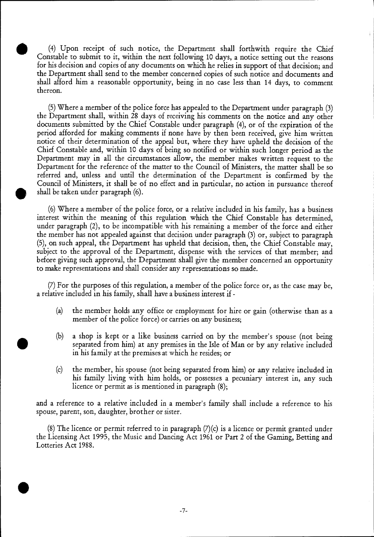(4) Upon receipt of such notice, the Department shall forthwith require the Chief Constable to submit to it, within the next following 10 days, a notice setting out the reasons for his decision and copies of any documents on which he relies in support of that decision; and the Department shall send to the member concerned copies of such notice and documents and shall afford him a reasonable opportunity, being in no case less than 14 days, to comment thereon.

the Department shall, within 28 days of receiving his comments on the notice and any other period afforded for making comments if none have by then been received, give him written documents submitted by the Chief Constable under paragraph (4), or of the expiration of the notice of their determination of the appeal but, where they have upheld the decision of the (5) Where a member of the police force has appealed to the Department under paragraph (3) Chief Constable and, within 10 days of being so notified or within such longer period as the Department may in all the circumstances allow, the member makes written request to the Department for the reference of the matter to the Council of Ministers, the matter shall be so referred and, unless and until the determination of the Department is confirmed by the Council of Ministers, it shall be of no effect and in particular, no action in pursuance thereof shall be taken under paragraph (6).

(6) Where a member of the police force, or a relative included in his family, has a business interest within the meaning of this regulation which the Chief Constable has determined, under paragraph (2), to be incompatible with his remaining a member of the force and either the member has not appealed against that decision under paragraph (3) or, subject to paragraph (5), on such appeal, the Department has upheld that decision, then, the Chief Constable may, subject to the approval of the Department, dispense with the services of that member; and before giving such approval, the Department shall give the member concerned an opportunity to make representations and shall consider any representations so made.

(7) For the purposes of this regulation, a member of the police force or, as the case may be, a relative included in his family, shall have a business interest if -

- (a) the member holds any office or employment for hire or gain (otherwise than as a member of the police force) or carries on any business;
- (b) a shop is kept or a like business carried on by the member's spouse (not being separated from him) at any premises in the Isle of Man or by any relative included in his family at the premises at which he resides; or
- (c) the member, his spouse (not being separated from him) or any relative included in his family living with him holds, or possesses a pecuniary interest in, any such licence or permit as is mentioned in paragraph (8);

and a reference to a relative included in a member's family shall include a reference to his spouse, parent, son, daughter, brother or sister.

 $(8)$  The licence or permit referred to in paragraph  $(7)(c)$  is a licence or permit granted under the Licensing Act 1995, the Music and Dancing Act 1961 or Part 2 of the Gaming, Betting and Lotteries Act 1988.

•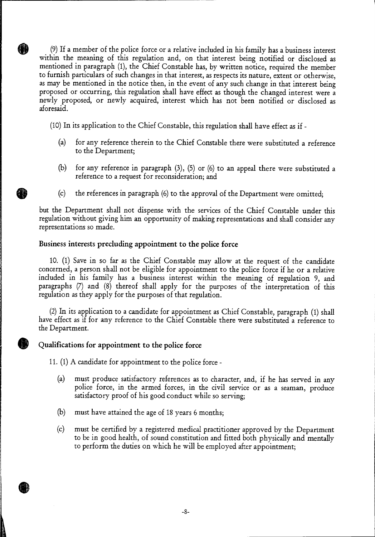(9)If a member of the police force or a relative included in his family has a business interest within the meaning of this regulation and, on that interest being notified or disclosed as mentioned in paragraph (1), the Chief Constable has, by written notice, required the member to furnish particulars of such changes in that interest, as respects its nature, extent or otherwise, as may be mentioned in the notice then, in the event of any such change in that interest being proposed or occurring, this regulation shall have effect as though the changed interest were a newly proposed, or newly acquired, interest which has not been notified or disclosed as aforesaid.

(10) In its application to the Chief Constable, this regulation shall have effect as if -

- (a) for any reference therein to the Chief Constable there were substituted a reference to the Department;
- (b) for any reference in paragraph (3), (5) or (6) to an appeal there were substituted a reference to a request for reconsideration; and
- (c) the references in paragraph (6) to the approval of the Department were omitted;

but the Department shall not dispense with the services of the Chief Constable under this regulation without giving him an opportunity of making representations and shall consider any representations so made.

## **Business interests precluding appointment to the police force**

PI.

10. (1) Save in so far as the Chief Constable may allow at the request of the candidate concerned, a person shall not be eligible for appointment to the police force if he or a relative included in his family has a business interest within the meaning of regulation 9, and paragraphs (7) and (8) thereof shall apply for the purposes of the interpretation of this regulation as they apply for the purposes of that regulation.

(2) In its application to a candidate for appointment as Chief Constable, paragraph (1) shall have effect as if for any reference to the Chief Constable there were substituted a reference to the Department.

# **Qualifications for appointment to the police force**

**11.(1)** A candidate for appointment to the police force -

- (a) must produce satisfactory references as to character, and, if he has served in any police force, in the armed forces, in the civil service or as a seaman, produce satisfactory proof of his good conduct while so serving;
- (b) must have attained the age of 18 years 6 months;
- (c) must be certified by a registered medical practitioner approved by the Department to be in good health, of sound constitution and fitted both physically and mentally to perform the duties on which he will be employed after appointment;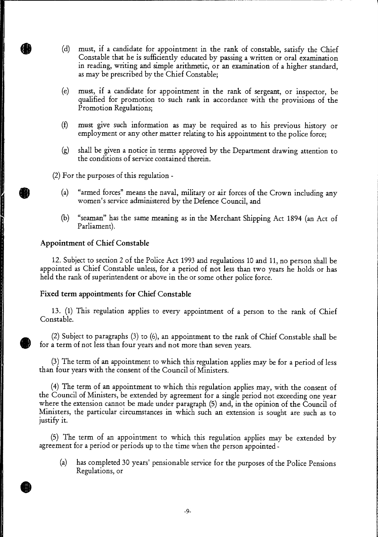- (d) must, if a candidate for appointment in the rank of constable, satisfy the Chief Constable that he is sufficiently educated by passing a written or oral examination in reading, writing and simple arithmetic, or an examination of a higher standard, as may be prescribed by the Chief Constable;
- (e) must, if a candidate for appointment in the rank of sergeant, or inspector, be qualified for promotion to such rank in accordance with the provisions of the Promotion Regulations;
- (f) must give such information as may be required as to his previous history or employment or any other matter relating to his appointment to the police force;
- shall be given a notice in terms approved by the Department drawing attention to the conditions of service contained therein. (g)

(2) For the purposes of this regulation -

- (a) "armed forces" means the naval, military or air forces of the Crown including any women's service administered by the Defence Council, and
- "seaman" has the same meaning as in the Merchant Shipping Act 1894 (an Act of Parliament). (b)

#### **Appointment of Chief Constable**

12. Subject to section 2 of the Police Act 1993 and regulations 10 and 11, no person shall be appointed as Chief Constable unless, for a period of not less than two years he holds or has held the rank of superintendent or above in the or some other police force.

#### **Fixed term appointments for Chief Constable**

13. (1) This regulation applies to every appointment of a person to the rank of Chief Constable.

(2) Subject to paragraphs (3) to (6), an appointment to the rank of Chief Constable shall be for a term of not less than four years and not more than seven years.

(3) The term of an appointment to which this regulation applies may be for a period of less than four years with the consent of the Council of Ministers.

(4) The term of an appointment to which this regulation applies may, with the consent of the Council of Ministers, be extended by agreement for a single period not exceeding one year where the extension cannot be made under paragraph (5) and, in the opinion of the Council of Ministers, the particular circumstances in which such an extension is sought are such as to justify it.

(5) The term of an appointment to which this regulation applies may be extended by agreement for a period or periods up to the time when the person appointed -

(a) has completed 30 years' pensionable service for the purposes of the Police Pensions Regulations, or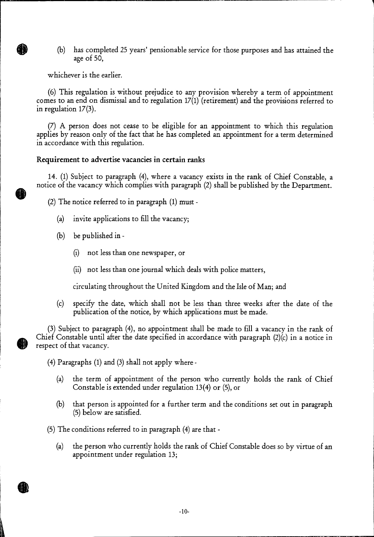(b) has completed 25 years' pensionable service for those purposes and has attained the age of 50,

whichever is the earlier.

(6) This regulation is without prejudice to any provision whereby a term of appointment comes to an end on dismissal and to regulation 17(1) (retirement) and the provisions referred to in regulation 17(3).

(7) A person does not cease to be eligible for an appointment to which this regulation applies by reason only of the fact that he has completed an appointment for a term determined in accordance with this regulation.

## Requirement to advertise vacancies in certain ranks

14. (1) Subject to paragraph (4), where a vacancy exists in the rank of Chief Constable, a notice of the vacancy which complies with paragraph (2) shall be published by the Department.

(2) The notice referred to in paragraph (1) must -

- (a) invite applications to fill the vacancy;
- (b) be published in
	- (i) not less than one newspaper, or
	- (ii) not less than one journal which deals with police matters,

circulating throughout the United Kingdom and the Isle of Man; and

(c) specify the date, which shall not be less than three weeks after the date of the publication of the notice, by which applications must be made.

(3) Subject to paragraph (4), no appointment shall be made to fill a vacancy in the rank of Chief Constable until after the date specified in accordance with paragraph (2)(c) in a notice in respect of that vacancy.

(4) Paragraphs (1) and (3) shall not apply where -

- (a) the term of appointment of the person who currently holds the rank of Chief Constable is extended under regulation 13(4) or (5), or
- (b) that person is appointed for a further term and the conditions set out in paragraph (5) below are satisfied.

(5) The conditions referred to in paragraph (4) are that -

(a) the person who currently holds the rank of Chief Constable does so by virtue of an appointment under regulation 13;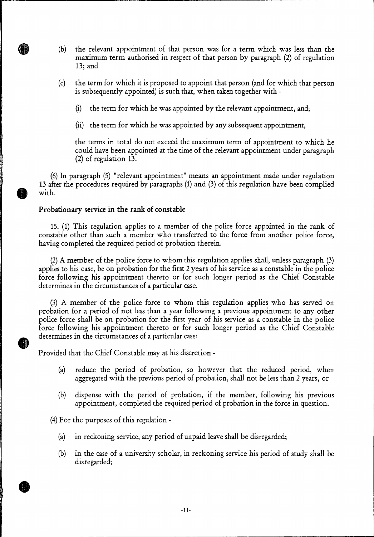- (b) the relevant appointment of that person was for a term which was less than the maximum term authorised in respect of that person by paragraph (2) of regulation 13; and
- (c) the term for which it is proposed to appoint that person (and for which that person is subsequently appointed) is such that, when taken together with -
	- (i) the term for which he was appointed by the relevant appointment, and;
	- (ii) the term for which he was appointed by any subsequent appointment,

the terms in total do not exceed the maximum term of appointment to which he could have been appointed at the time of the relevant appointment under paragraph (2) of regulation 13.

(6) In paragraph (5) "relevant appointment" means an appointment made under regulation 13 after the procedures required by paragraphs (1) and (3) of this regulation have been complied with.

#### **Probationary service in the rank of constable**

15. (1) This regulation applies to a member of the police force appointed in the rank of constable other than such a member who transferred to the force from another police force, having completed the required period of probation therein.

(2) A member of the police force to whom this regulation applies shall, unless paragraph (3) applies to his case, be on probation for the first 2 years of his service as a constable in the police force following his appointment thereto or for such longer period as the Chief Constable determines in the circumstances of a particular case.

(3) A member of the police force to whom this regulation applies who has served on probation for a period of not less than a year following a previous appointment to any other police force shall be on probation for the first year of his service as a constable in the police force following his appointment thereto or for such longer period as the Chief Constable determines in the circumstances of a particular case:

Provided that the Chief Constable may at his discretion -

- (a) reduce the period of probation, so however that the reduced period, when aggregated with the previous period of probation, shall not be less than 2 years, or
- (b) dispense with the period of probation, if the member, following his previous appointment, completed the required period of probation in the force in question.

(4) For the purposes of this regulation -

- (a) in reckoning service, any period of unpaid leave shall be disregarded;
- (b) in the case of a university scholar, in reckoning service his period of study shall be disregarded;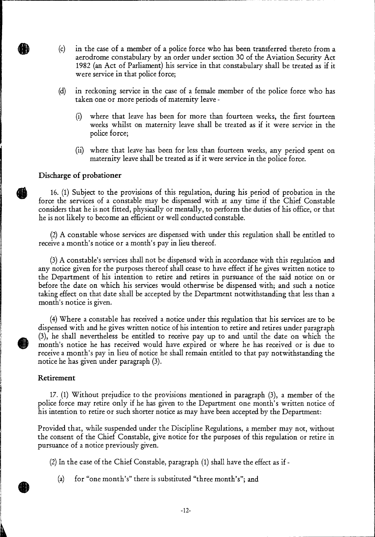- (c) in the case of a member of a police force who has been transferred thereto from a aerodrome constabulary by an order under section 30 of the Aviation Security Act 1982 (an Act of Parliament) his service in that constabulary shall be treated as if it were service in that police force;
- (d) in reckoning service in the case of a female member of the police force who has taken one or more periods of maternity leave -
	- (i) where that leave has been for more than fourteen weeks, the first fourteen weeks whilst on maternity leave shall be treated as if it were service in the police force;
	- (ii) where that leave has been for less than fourteen weeks, any period spent on maternity leave shall be treated as if it were service in the police force.

#### **Discharge of probationer**

HĐ

16. (1) Subject to the provisions of this regulation, during his period of probation in the force the services of a constable may be dispensed with at any time if the Chief Constable considers that he is not fitted, physically or mentally, to perform the duties of his office, or that he is not likely to become an efficient or well conducted constable.

(2)A constable whose services are dispensed with under this regulation shall be entitled to receive a month's notice or a month's pay in lieu thereof.

(3)A constable's services shall not be dispensed with in accordance with this regulation and any notice given for the purposes thereof shall cease to have effect if he gives written notice to the Department of his intention to retire and retires in pursuance of the said notice on or before the date on which his services would otherwise be dispensed with; and such a notice taking effect on that date shall be accepted by the Department notwithstanding that less than a month's notice is given.

(4)Where a constable has received a notice under this regulation that his services are to be dispensed with and he gives written notice of his intention to retire and retires under paragraph (3), he shall nevertheless be entitled to receive pay up to and until the date on which the month's notice he has received would have expired or where he has received or is due to receive a month's pay in lieu of notice he shall remain entitled to that pay notwithstanding the notice he has given under paragraph (3).

#### **Retirement**

17. (1) Without prejudice to the provisions mentioned in paragraph (3), a member of the police force may retire only if he has given to the Department one month's written notice of his intention to retire or such shorter notice as may have been accepted by the Department:

Provided that, while suspended under the Discipline Regulations, a member may not, without the consent of the Chief Constable, give notice for the purposes of this regulation or retire in pursuance of a notice previously given.

(2) In the case of the Chief Constable, paragraph (1) shall have the effect as if -

(a) for "one month's" there is substituted "three month's"; and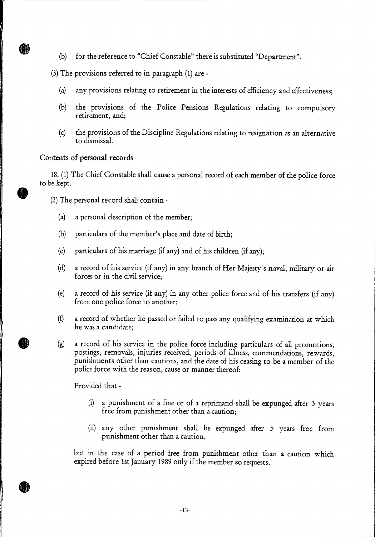(b) for the reference to "Chief Constable" there is substituted "Department".

(3) The provisions referred to in paragraph (1) are -

- any provisions relating to retirement in the interests of efficiency and effectiveness; (a)
- the provisions of the Police Pensions Regulations relating to compulsory retirement, and; (b)
- (c) the provisions of the Discipline Regulations relating to resignation as an alternative to dismissal.

#### Contents of personal records

ÆA

18. (1) The Chief Constable shall cause a personal record of each member of the police force to be kept.

(2) The personal record shall contain -

- (a) a personal description of the member;
- (b) particulars of the member's place and date of birth;
- (c) particulars of his marriage (if any) and of his children (if any);
- (d) a record of his service (if any) in any branch of Her Majesty's naval, military or air forces or in the civil service;
- (e) a record of his service (if any) in any other police force and of his transfers (if any) from one police force to another;
- a record of whether he passed or failed to pass any qualifying examination at which he was a candidate; (f)
- a record of his service in the police force including particulars of all promotions, postings, removals, injuries received, periods of illness, commendations, rewards, punishments other than cautions, and the date of his ceasing to be a member of the police force with the reason, cause or manner thereof: (g)

Provided that -

- (i) a punishment of a fine or of a reprimand shall be expunged after 3 years free from punishment other than a caution;
- (ii) any other punishment shall be expunged after 5 years free from punishment other than a caution,

but in the case of a period free from punishment other than a caution which expired before 1st January 1989 only if the member so requests.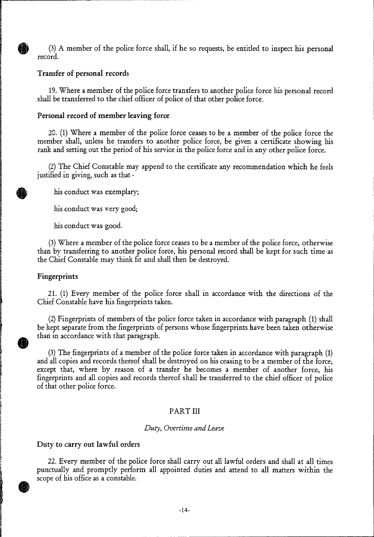(3) A member of the police force shall, if he so requests, be entitled to inspect his personal record.

#### **Transfer of personal records**

19. Where a member of the police force transfers to another police force his personal record shall be transferred to the chief officer of police of that other police force.

#### **Personal record of member leaving force**

20. (1) Where a member of the police force ceases to be a member of the police force the member shall, unless he transfers to another police force, be given a certificate showing his rank and setting out the period of his service in the police force and in any other police force.

**.** (2)The Chief Constable may append to the certificate any recommendation which he feels justified in giving, such as that -

his conduct was exemplary;

his conduct was very good;

his conduct was good.

(3)Where a member of the police force ceases to be a member of the police force, otherwise than by transferring to another police force, his personal record shall be kept for such time as the Chief Constable may think fit and shall then be destroyed.

#### **Fingerprints**

21. (1) Every member of the police force shall in accordance with the directions of the Chief Constable have his fingerprints taken.

(2)Fingerprints of members of the police force taken in accordance with paragraph (1) shall be kept separate from the fingerprints of persons whose fingerprints have been taken otherwise than in accordance with that paragraph.

(3)The fingerprints of a member of the police force taken in accordance with paragraph (1) and all copies and records thereof shall be destroyed on his ceasing to be a member of the force, except that, where by reason of a transfer he becomes a member of another force, his fingerprints and all copies and records thereof shall be transferred to the chief officer of police of that other police force.

#### PART III

#### *Duty, Overtime and Leave*

#### **Duty to carry out lawful orders**

22. Every member of the police force shall carry out all lawful orders and shall at all times punctually and promptly perform all appointed duties and attend to all matters within the scope of his office as a constable.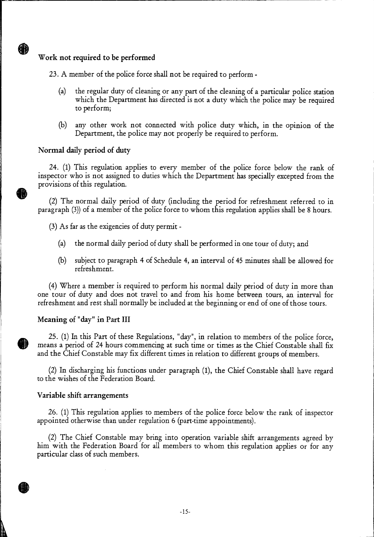# **Work not required to be performed**

A

23. A member of the police force shall not be required to perform -

- (a) the regular duty of cleaning or any part of the cleaning of a particular police station which the Department has directed is not a duty which the police may be required to perform;
- $(b)$  any other work not connected with police duty which, in the opinion of the Department, the police may not properly be required to perform.

## **Normal daily period of duty**

24. (1) This regulation applies to every member of the police force below the rank of inspector who is not assigned to duties which the Department has specially excepted from the provisions of this regulation.

(2) The normal daily period of duty (including the period for refreshment referred to in paragraph (3)) of a member of the police force to whom this regulation applies shall be 8 hours.

(3) As far as the exigencies of duty permit -

- (a) the normal daily period of duty shall be performed in one tour of duty; and
- (b) subject to paragraph **4** of Schedule 4, an interval of 45 minutes shall be allowed for refreshment.

(4) Where a member is required to perform his normal daily period of duty in more than one tour of duty and does not travel to and from his home between tours, an interval for refreshment and rest shall normally be included at the beginning or end of one of those tours.

#### **Meaning of "day" in Part III**

25. (1) In this Part of these Regulations, "day", in relation to members of the police force, means a period of 24 hours commencing at such time or times as the Chief Constable shall fix and the Chief Constable may fix different times in relation to different groups of members.

(2) In discharging his functions under paragraph (1), the Chief Constable shall have regard to the wishes of the Federation Board.

#### **Variable shift arrangements**

26. (1) This regulation applies to members of the police force below the rank of inspector appointed otherwise than under regulation 6 (part-time appointments).

(2) The Chief Constable may bring into operation variable shift arrangements agreed by him with the Federation Board for all members to whom this regulation applies or for any particular class of such members.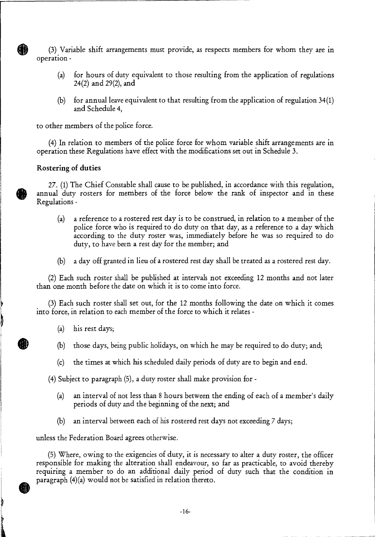(3) Variable shift arrangements must provide, as respects members for whom they are in operation -

- (a) for hours of duty equivalent to those resulting from the application of regulations 24(2) and 29(2), and
- (b) for annual leave equivalent to that resulting from the application of regulation 34(1) and Schedule 4,

to other members of the police force.

(4) In relation to members of the police force for whom variable shift arrangements are in operation these Regulations have effect with the modifications set out in Schedule 3.

#### **Rostering of duties**

27. (1) The Chief Constable shall cause to be published, in accordance with this regulation, annual duty rosters for members of the force below the rank of inspector and in these Regulations -

- (a) a reference to a rostered rest day is to be construed, in relation to a member of the police force who is required to do duty on that day, as a reference to a day which according to the duty roster was, immediately before he was so required to do duty, to have been a rest day for the member; and
- (b) a day off granted in lieu of a rostered rest day shall be treated as a rostered rest day.

(2) Each such roster shall be published at intervals not exceeding 12 months and not later than one month before the date on which it is to come into force.

(3) Each such roster shall set out, for the 12 months following the date on which it comes into force, in relation to each member of the force to which it relates -

- (a) his rest days;
- (b) those days, being public holidays, on which he may be required to do duty; and;
- (c) the times at which his scheduled daily periods of duty are to begin and end.

(4) Subject to paragraph (5), a duty roster shall make provision for -

- (a) an interval of not less than 8 hours between the ending of each of a member's daily periods of duty and the beginning of the next; and
- (b) an interval between each of his rostered rest days not exceeding 7 days;

unless the Federation Board agrees otherwise.

(5) Where, owing to the exigencies of duty, it is necessary to alter a duty roster, the officer responsible for making the alteration shall endeavour, so far as practicable, to avoid thereby requiring a member to do **an** additional daily period of duty such that the condition in paragraph (4)(a) would not be satisfied in relation thereto.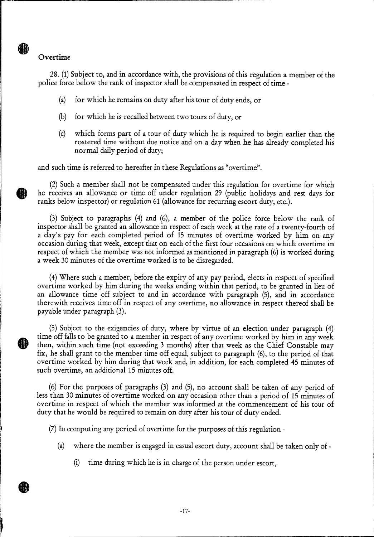#### Overtime

⋒

28. (1) Subject to, and in accordance with, the provisions of this regulation a member of the police force below the rank of inspector shall be compensated in respect of time -

- (a) for which he remains on duty after his tour of duty ends, or
- (b) for which he is recalled between two tours of duty, or
- (c) which forms part of a tour of duty which he is required to begin earlier than the rostered time without due notice and on a day when he has already completed his normal daily period of duty;

and such time is referred to hereafter in these Regulations as "overtime".

(2) Such a member shall not be compensated under this regulation for overtime for which he receives an allowance or time off under regulation 29 (public holidays and rest days for ranks below inspector) or regulation 61 (allowance for recurring escort duty, etc.).

(3) Subject to paragraphs (4) and (6), a member of the police force below the rank of inspector shall be granted an allowance in respect of each week at the rate of a twenty-fourth of a day's pay for each completed period of 15 minutes of overtime worked by him on any occasion during that week, except that on each of the first four occasions on which overtime in respect of which the member was not informed as mentioned in paragraph (6) is worked during a week 30 minutes of the overtime worked is to be disregarded.

(4)Where such a member, before the expiry of any pay period, elects in respect of specified overtime worked by him during the weeks ending within that period, to be granted in lieu of an allowance time off subject to and in accordance with paragraph (5), and in accordance therewith receives time off in respect of any overtime, no allowance in respect thereof shall be payable under paragraph (3).

(5) Subject to the exigencies of duty, where by virtue of an election under paragraph (4) time off falls to be granted to a member in respect of any overtime worked by him in any week then, within such time (not exceeding 3 months) after that week as the Chief Constable may fix, he shall grant to the member time off equal, subject to paragraph (6), to the period of that overtime worked by him during that week and, in addition, for each completed 45 minutes of such overtime, an additional 15 minutes off.

(6) For the purposes of paragraphs (3) and (5), no account shall be taken of any period of less than 30 minutes of overtime worked on any occasion other than a period of 15 minutes of overtime in respect of which the member was informed at the commencement of his tour of duty that he would be required to remain on duty after his tour of duty ended.

(7)In computing any period of overtime for the purposes of this regulation -

- (a) where the member is engaged in casual escort duty, account shall be taken only of
	- (i) time during which he is in charge of the person under escort,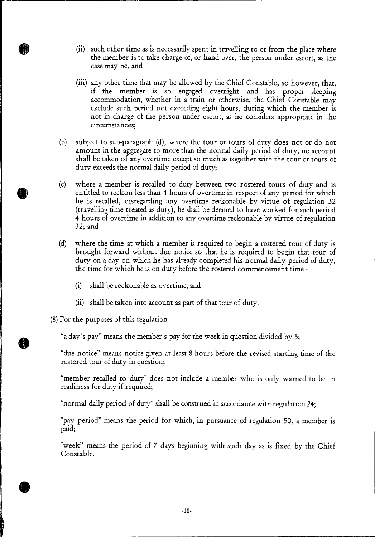- (ii) such other time as is necessarily spent in travelling to or from the place where the member is to take charge of, or hand over, the person under escort, as the case may be, and
- (iii) any other time that may be allowed by the Chief Constable, so however, that, if the member is so engaged overnight and has proper sleeping accommodation, whether in a train or otherwise, the Chief Constable may exclude such period not exceeding eight hours, during which the member is not in charge of the person under escort, as he considers appropriate in the circumstances;
- (b) subject to sub-paragraph (d), where the tour or tours of duty does not or do not amount in the aggregate to more than the normal daily period of duty, no account shall be taken of any overtime except so much as together with the tour or tours of duty exceeds the normal daily period of duty;
- (c) where a member is recalled to duty between two rostered tours of duty and is entitled to reckon less than 4 hours of overtime in respect of any period for which he is recalled, disregarding any overtime reckonable by virtue of regulation 32 (travelling time treated as duty), he shall be deemed to have worked for such period 4 hours of overtime in addition to any overtime reckonable by virtue of regulation 32; and
- (d) where the time at which a member is required to begin a rostered tour of duty is brought forward without due notice so that he is required to begin that tour of duty on a day on which he has already completed his normal daily period of duty, the time for which he is on duty before the rostered commencement time -
	- (i) shall be reckonable as overtime, and
	- (ii) shall be taken into account as part of that tour of duty.

(8) For the purposes of this regulation -

"a day's pay" means the member's pay for the week in question divided by 5;

"due notice" means notice given at least 8 hours before the revised starting time of the rostered tour of duty in question;

"member recalled to duty" does not include a member who is only warned to be in readiness for duty if required;

*"*normal daily period of duty" shall be construed in accordance with regulation 24;

"pay period" means the period for which, in pursuance of regulation 50, a member is paid;

*"*week" means the period of 7 days beginning with such day as is fixed by the Chief Constable.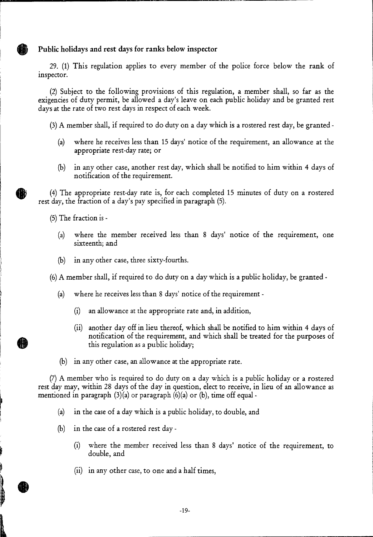# **Public holidays and rest days for ranks below inspector**

29. (1) This regulation applies to every member of the police force below the rank of inspector.

(2) Subject to the following provisions of this regulation, a member shall, so far as the exigencies of duty permit, be allowed a day's leave on each public holiday and be granted rest days at the rate of two rest days in respect of each week.

(3)A member shall, if required to do duty on a day which is a rostered rest day, be granted -

- (a) where he receives less than 15 days' notice of the requirement, an allowance at the appropriate rest-day rate; or
- (b) in any other case, another rest day, which shall be notified to him within 4 days of notification of the requirement.

(4) The appropriate rest-day rate is, for each completed 15 minutes of duty on a rostered rest day, the fraction of a day's pay specified in paragraph (5).

(5) The fraction is -

**.** 

**I** 

- (a) where the member received less than 8 days' notice of the requirement, one sixteenth; and
- (b) in any other case, three sixty-fourths.

(6) A member shall, if required to do duty on a day which is a public holiday, be granted -

- (a) where he receives less than 8 days' notice of the requirement
	- (i) an allowance at the appropriate rate and, in addition,
	- (ii) another day off in lieu thereof, which shall be notified to him within 4 days of notification of the requirement, and which shall be treated for the purposes of this regulation as a public holiday;
- (b) in any other case, an allowance at the appropriate rate.

(7) A member who is required to do duty on a day which is a public holiday or a rostered rest day may, within 28 days of the day in question, elect to receive, in lieu of an allowance as mentioned in paragraph  $(3)(a)$  or paragraph  $(6)(a)$  or  $(b)$ , time off equal -

- (a) in the case of a day which is a public holiday, to double, and
- (b) in the case of a rostered rest day
	- (i) where the member received less than 8 days' notice of the requirement, to double, and
	- (ii) in any other case, to one and a half times,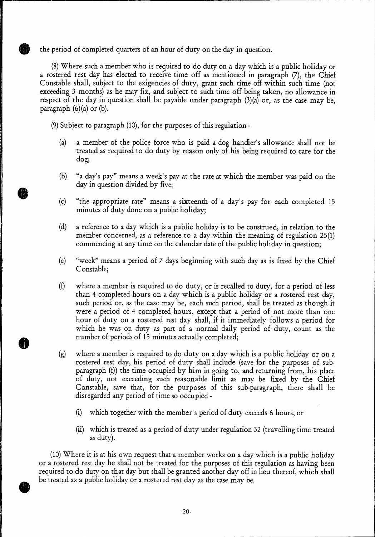the period of completed quarters of an hour of duty on the day in question.

(8) Where such a member who is required to do duty on a day which is a public holiday or a rostered rest day has elected to receive time off as mentioned in paragraph (7), the Chief Constable shall, subject to the exigencies of duty, grant such time off within such time (not exceeding 3 months) as he may fix, and subject to such time off being taken, no allowance in respect of the day in question shall be payable under paragraph (3)(a) or, as the case may be, paragraph  $(6)(a)$  or  $(b)$ .

(9) Subject to paragraph (10), for the purposes of this regulation -

- (a) a member of the police force who is paid a dog handler's allowance shall not be treated as required to do duty by reason only of his being required to care for the dog;
- (b) "a day's pay" means a week's pay at the rate at which the member was paid on the day in question divided by five;
- (c) "the appropriate rate" means a sixteenth of a day's pay for each completed 15 minutes of duty done on a public holiday;
- (d) a reference to a day which is a public holiday is to be construed, in relation to the member concerned, as a reference to a day within the meaning of regulation 25(1) commencing at any time on the calendar date of the public holiday in question;
- (e) "week" means a period of 7 days beginning with such day as is fixed by the Chief Constable;
- (f) where a member is required to do duty, or is recalled to duty, for a period of less than 4 completed hours on a day which is a public holiday or a rostered rest day, such period or, as the case may be, each such period, shall be treated as though it were a period of 4 completed hours, except that a period of not more than one hour of duty on a rostered rest day shall, if it immediately follows a period for which he was on duty as part of a normal daily period of duty, count as the number of periods of 15 minutes actually completed;
- (g) where a member is required to do duty on a day which is a public holiday or on a rostered rest day, his period of duty shall include (save for the purposes of subparagraph (f)) the time occupied by him in going to, and returning from, his place of duty, not exceeding such reasonable limit as may be fixed by the Chief Constable, save that, for the purposes of this sub-paragraph, there shall be disregarded any period of time so occupied -
	- (i) which together with the member's period of duty exceeds 6 hours, or
	- (ii) which is treated as a period of duty under regulation 32 (travelling time treated as duty).

(10) Where it is at his own request that a member works on a day which is a public holiday or a rostered rest day he shall not be treated for the purposes of this regulation as having been required to do duty on that day but shall be granted another day off in lieu thereof, which shall be treated as a public holiday or a rostered rest day as the case may be.

 $\bullet$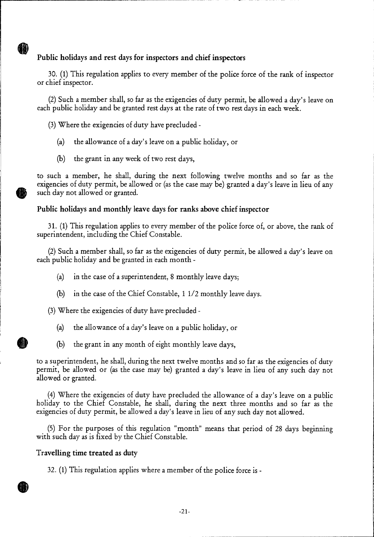# **Public holidays and rest days for inspectors and chief inspectors**

30. (1) This regulation applies to every member of the police force of the rank of inspector or chief inspector.

(2) Such a member shall, so far as the exigencies of duty permit, be allowed a day's leave on each public holiday and be granted rest days at the rate of two rest days in each week.

(3)Where the exigencies of duty have precluded -

10

- (a) the allowance of a day's leave on a public holiday, or
- (b) the grant in any week of two rest days,

to such a member, he shall, during the next following twelve months and so far as the exigencies of duty permit, be allowed or (as the case may be) granted a day's leave in lieu of any such day not allowed or granted.

## **Public holidays and monthly leave days for ranks above chief inspector**

31. (1) This regulation applies to every member of the police force of, or above, the rank of superintendent, including the Chief Constable.

(2) Such a member shall, so far as the exigencies of duty permit, be allowed a day's leave on each public holiday and be granted in each month -

- (a) in the case of a superintendent, 8 monthly leave days;
- (b) in the case of the Chief Constable, 1 1/2 monthly leave days.

(3) Where the exigencies of duty have precluded -

- (a) the allowance of a day's leave on a public holiday, or
- (b) the grant in any month of eight monthly leave days,

to a superintendent, he shall, during the next twelve months and so far as the exigencies of duty permit, be allowed or (as the case may be) granted a day's leave in lieu of any such day not allowed or granted.

(4) Where the exigencies of duty have precluded the allowance of a day's leave on a public holiday to the Chief Constable, he shall, during the next three months and so far as the exigencies of duty permit, be allowed a day's leave in lieu of any such day not allowed.

(5) For the purposes of this regulation "month" means that period of 28 days beginning with such day as is fixed by the Chief Constable.

#### **Travelling time treated as duty**

32. (1) This regulation applies where a member of the police force is -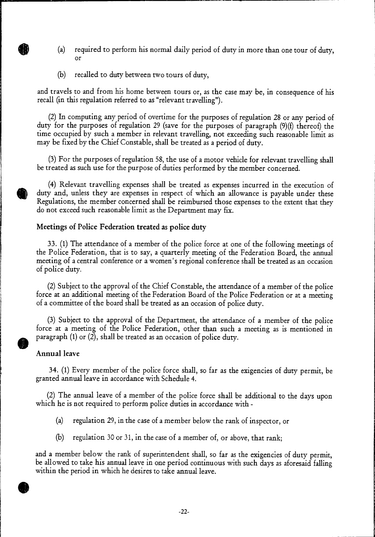- (a) required to perform his normal daily period of duty in more than one tour of duty, or
- (b) recalled to duty between two tours of duty,

and travels to and from his home between tours or, as the case may be, in consequence of his recall (in this regulation referred to as "relevant travelling").

(2) In computing any period of overtime for the purposes of regulation 28 or any period of duty for the purposes of regulation 29 (save for the purposes of paragraph (9)(f) thereof) the time occupied by such a member in relevant travelling, not exceeding such reasonable limit as may be fixed by the Chief Constable, shall be treated as a period of duty.

(3) For the purposes of regulation 58, the use of a motor vehicle for relevant travelling shall be treated as such use for the purpose of duties performed by the member concerned.

(4) Relevant travelling expenses shall be treated as expenses incurred in the execution of duty and, unless they are expenses in respect of which an allowance is payable under these Regulations, the member concerned shall be reimbursed those expenses to the extent that they do not exceed such reasonable limit as the Department may fix.

#### **Meetings of Police Federation treated as police duty**

33. (1) The attendance of a member of the police force at one of the following meetings of the Police Federation, that is to say, a quarterly meeting of the Federation Board, the annual meeting of a central conference or a women's regional conference shall be treated as an occasion of police duty.

(2) Subject to the approval of the Chief Constable, the attendance of a member of the police force at an additional meeting of the Federation Board of the Police Federation or at a meeting of a committee of the board shall be treated as an occasion of police duty.

(3) Subject to the approval of the Department, the attendance of a member of the police force at a meeting of the Police Federation, other than such a meeting as is mentioned in paragraph (1) or (2), shall be treated as an occasion of police duty.

#### **Annual leave**

34. (1) Every member of the police force shall, so far as the exigencies of duty permit, be granted annual leave in accordance with Schedule 4.

(2) The annual leave of a member of the police force shall be additional to the days upon which he is not required to perform police duties in accordance with -

- (a) regulation 29, in the case of a member below the rank of inspector, or
- (b) regulation 30 or 31, in the case of a member of, or above, that rank;

and a member below the rank of superintendent shall, so far as the exigencies of duty permit, be allowed to take his annual leave in one period continuous with such days as aforesaid falling within the period in which he desires to take annual leave.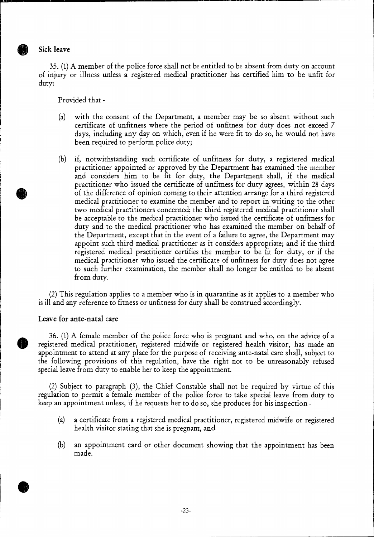Sick leave

35. (1) A member of the police force shall not be entitled to be absent from duty on account of injury or illness unless a registered medical practitioner has certified him to be unfit for duty:

Provided that -

- (a) with the consent of the Department, a member may be so absent without such certificate of unfitness where the period of unfitness for duty does not exceed 7 days, including any day on which, even if he were fit to do so, he would not have been required to perform police duty;
- (b) if, notwithstanding such certificate of unfitness for duty, a registered medical practitioner appointed or approved by the Department has examined the member and considers him to be fit for duty, the Department shall, if the medical practitioner who issued the certificate of unfitness for duty agrees, within 28 days of the difference of opinion coming to their attention arrange for a third registered medical practitioner to examine the member and to report in writing to the other two medical practitioners concerned; the third registered medical practitioner shall be acceptable to the medical practitioner who issued the certificate of unfitness for duty and to the medical practitioner who has examined the member on behalf of the Department, except that in the event of a failure to agree, the Department may appoint such third medical practitioner as it considers appropriate; and if the third registered medical practitioner certifies the member to be fit for duty, or if the medical practitioner who issued the certificate of unfitness for duty does not agree to such further examination, the member shall no longer be entitled to be absent from duty.

(2) This regulation applies to a member who is in quarantine as it applies to a member who is ill and any reference to fitness or unfitness for duty shall be construed accordingly.

#### **Leave for ante -natal care**

36. (1) A female member of the police force who is pregnant and who, on the advice of a registered medical practitioner, registered midwife or registered health visitor, has made an appointment to attend at any place for the purpose of receiving ante-natal care shall, subject to the following provisions of this regulation, have the right not to be unreasonably refused special leave from duty to enable her to keep the appointment.

(2) Subject to paragraph (3), the Chief Constable shall not be required by virtue of this regulation to permit a female member of the police force to take special leave from duty to keep an appointment unless, if he requests her to do so, she produces for his inspection -

- (a) a certificate from a registered medical practitioner, registered midwife or registered health visitor stating that she is pregnant, and
- (b) an appointment card or other document showing that the appointment has been made.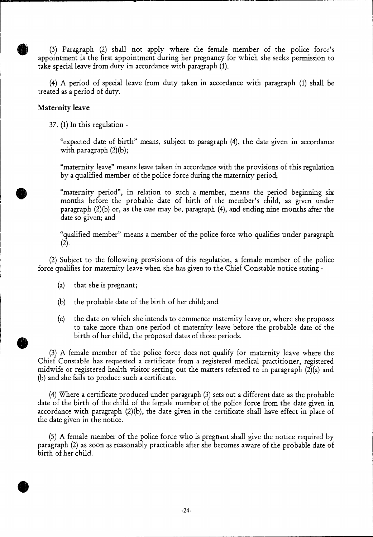(3) Paragraph (2) shall not apply where the female member of the police force's appointment is the first appointment during her pregnancy for which she seeks permission to take special leave from duty in accordance with paragraph (1).

(4) A period of special leave from duty taken in accordance with paragraph (1) shall be treated as a period of duty.

## **Maternity leave**

37. (1) In this regulation -

"expected date of birth" means, subject to paragraph (4), the date given in accordance with paragraph  $(2)(b)$ ;

"maternity leave" means leave taken in accordance with the provisions of this regulation by a qualified member of the police force during the maternity period;

"maternity period", in relation to such a member, means the period beginning six months before the probable date of birth of the member's child, as given under paragraph  $(2)(b)$  or, as the case may be, paragraph  $(4)$ , and ending nine months after the date so given; and

"qualified member" means a member of the police force who qualifies under paragraph  $(2).$ 

(2) Subject to the following provisions of this regulation, a female member of the police force qualifies for maternity leave when she has given to the Chief Constable notice stating -

- (a) that she is pregnant;
- (b) the probable date of the birth of her child; and
- (c) the date on which she intends to commence maternity leave or, where she proposes to take more than one period of maternity leave before the probable date of the birth of her child, the proposed dates of those periods.

(3) A female member of the police force does not qualify for maternity leave where the Chief Constable has requested a certificate from a registered medical practitioner, registered midwife or registered health visitor setting out the matters referred to in paragraph (2)(a) and (b) and she fails to produce such a certificate.

(4) Where a certificate produced under paragraph (3) sets out a different date as the probable date of the birth of the child of the female member of the police force from the date given in accordance with paragraph (2)(b), the date given in the certificate shall have effect in place of the date given in the notice.

(5) A female member of the police force who is pregnant shall give the notice required by paragraph (2) as soon as reasonably practicable after she becomes aware of the probable date of birth of her child.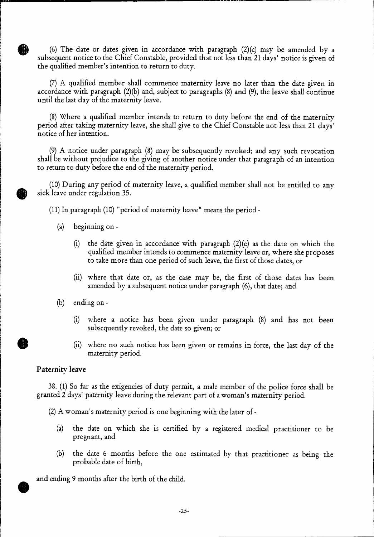$\bigoplus$ (6) The date or dates given in accordance with paragraph  $(2)(c)$  may be amended by a subsequent notice to the Chief Constable, provided that not less **than** 21 days' notice is given of the qualified member's intention to return to duty.

(7) A qualified member shall commence maternity leave no later than the date given in accordance with paragraph (2)(b) and, subject to paragraphs (8) and (9), the leave shall continue until the last day of the maternity leave.

(8)Where a qualified member intends to return to duty before the end of the maternity period after taking maternity leave, she shall give to the Chief Constable not less than 21 days' notice of her intention.

(9) A notice under paragraph (8) may be subsequently revoked; and any such revocation shall be without prejudice to the giving of another notice under that paragraph of an intention to return to duty before the end of the maternity period.

 $\bullet$ (10) During any period of maternity leave, a qualified member shall not be entitled to any sick leave under regulation 35.

(11) In paragraph (10) "period of maternity leave" means the period -

- (a) beginning on
	- (i) the date given in accordance with paragraph  $(2)(c)$  as the date on which the qualified member intends to commence maternity leave or, where she proposes to take more than one period of such leave, the first of those dates, or
	- (ii) where that date or, as the case may be, the first of those dates has been amended by a subsequent notice under paragraph (6), that date; and
- (b) ending on
	- (i) where a notice has been given under paragraph (8) and has not been subsequently revoked, the date so given; or
	- (ii) where no such notice has been given or remains in force, the last day of the maternity period.

#### **Paternity leave**

38. (1) So far as the exigencies of duty permit, a male member of the police force shall be granted 2 days' paternity leave during the relevant part of a woman's maternity period.

(2) A woman's maternity period is one beginning with the later of -

- (a) the date on which she is certified by a registered medical practitioner to be pregnant, and
- the date 6 months before the one estimated by that practitioner as being the probable date of birth, (b)

 $\bullet$   $\bullet$ and ending 9 months after the birth of the child.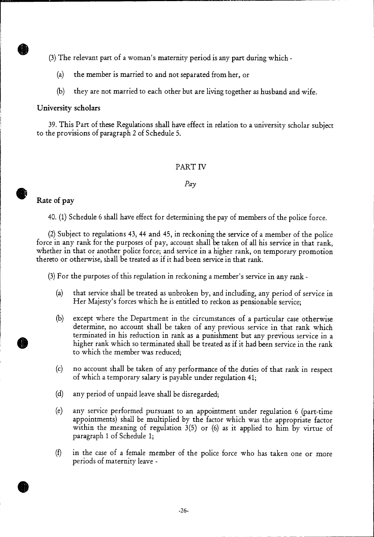(3) The relevant part of a woman's maternity period is any part during which -

- (a) the member is married to and not separated from her, or
- (b) they are not married to each other but are living together as husband and wife.

## **University scholars**

II)

39.This Part of these Regulations shall have effect in relation to a university scholar subject to the provisions of paragraph 2 of Schedule 5.

# PART IV

## *Pay*

# **Rate of pay**

40. (1) Schedule 6 shall have effect for determining the pay of members of the police force.

(2) Subject to regulations 43, 44 and 45, in reckoning the service of a member of the police force in any rank for the purposes of pay, account shall be taken of all his service in that rank, whether in that or another police force; and service in a higher rank, on temporary promotion thereto or otherwise, shall be treated as if it had been service in that rank.

(3)For the purposes of this regulation in reckoning a member's service in any rank -

- (a) that service shall be treated as unbroken by, and including, any period of service in Her Majesty's forces which he is entitled to reckon as pensionable service;
- (b) except where the Department in the circumstances of a particular case otherwise determine, no account shall be taken of any previous service in that rank which terminated in his reduction in rank as a punishment but any previous service in a higher rank which so terminated shall be treated as if it had been service in the rank to which the member was reduced;
- (c) no account shall be taken of any performance of the duties of that rank in respect of which a temporary salary is payable under regulation 41;
- (d) any period of unpaid leave shall be disregarded;
- (e) any service performed pursuant to an appointment under regulation 6 (part-time appointments) shall be multiplied by the factor which was the appropriate factor within the meaning of regulation 3(5) or (6) as it applied to him by virtue of paragraph 1 of Schedule 1;
- (f) in the case of a female member of the police force who has taken one or more periods of maternity leave -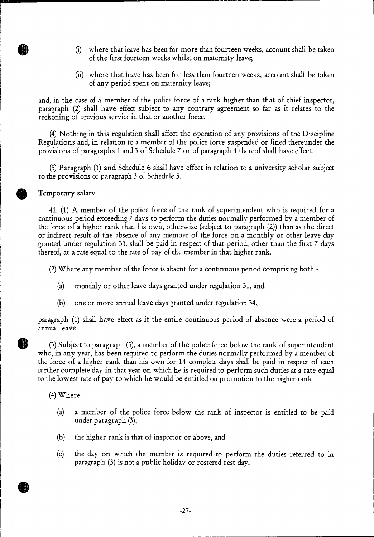- (i) where that leave has been for more than fourteen weeks, account shall be taken of the first fourteen weeks whilst on maternity leave;
- (ii) where that leave has been for less than fourteen weeks, account shall be taken of any period spent on maternity leave;

and, in the case of a member of the police force of a rank higher than that of chief inspector, paragraph (2) shall have effect subject to any contrary agreement so far as it relates to the reckoning of previous service in that or another force.

(4)Nothing in this regulation shall affect the operation of any provisions of the Discipline Regulations and, in relation to a member of the police force suspended or fined thereunder the provisions of paragraphs 1 and 3 of Schedule 7 or of paragraph 4 thereof shall have effect.

(5)Paragraph (1) and Schedule 6 shall have effect in relation to a university scholar subject to the provisions of paragraph 3 of Schedule 5.

#### Temporary salary

41. (1) A member of the police force of the rank of superintendent who is required for a continuous period exceeding 7 days to perform the duties normally performed by a member of the force of a higher rank than his own, otherwise (subject to paragraph (2)) than as the direct or indirect result of the absence of any member of the force on a monthly or other leave day granted under regulation 31, shall be paid in respect of that period, other than the first 7 days thereof, at a rate equal to the rate of pay of the member in that higher rank.

(2) Where any member of the force is absent for a continuous period comprising both -

- (a) monthly or other leave days granted under regulation 31, and
- (b) one or more annual leave days granted under regulation 34,

paragraph (1) shall have effect as if the entire continuous period of absence were a period of annual leave.<br>
(3) Subject to paragraph (5), a member of the police force below the rank of superintendent

who, in any year, has been required to perform the duties normally performed by a member of the force of a higher rank than his own for 14 complete days shall be paid in respect of each further complete day in that year on which he is required to perform such duties at a rate equal to the lowest rate of pay to which he would be entitled on promotion to the higher rank.

 $(4)$  Where -

- (a) a member of the police force below the rank of inspector is entitled to be paid under paragraph (3),
- (b) the higher rank is that of inspector or above, and
- (c) the day on which the member is required to perform the duties referred to in paragraph (3) is not a public holiday or rostered rest day,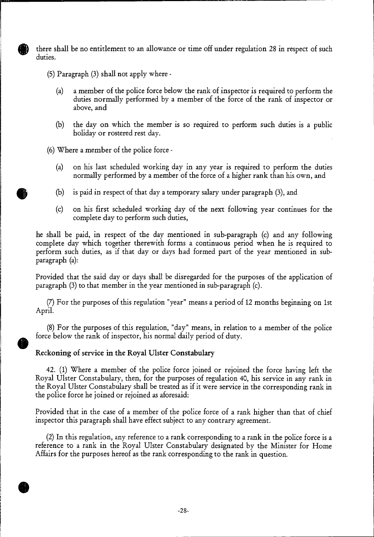there shall be no entitlement to an allowance or time off under regulation 28 in respect of such duties.

- (5) Paragraph (3) shall not apply where
	- (a) a member of the police force below the rank of inspector is required to perform the duties normally performed by a member of the force of the rank of inspector or above, and
	- (b) the day on which the member is so required to perform such duties is a public holiday or rostered rest day.
- (6) Where a member of the police force
	- (a) on his last scheduled working day in any year is required to perform the duties normally performed by a member of the force of a higher rank than his own, and
	- (b) is paid in respect of that day a temporary salary under paragraph (3), and
	- (c) on his first scheduled working day of the next following year continues for the complete day to perform such duties,

he shall be paid, in respect of the day mentioned in sub-paragraph (c) and any following complete day which together therewith forms a continuous period when he is required to perform such duties, as if that day or days had formed part of the year mentioned in subparagraph (a):

Provided that the said day or days shall be disregarded for the purposes of the application of paragraph (3) to that member in the year mentioned in sub-paragraph (c).

(7) For the purposes of this regulation "year" means a period of 12 months beginning on 1st April.

(8) For the purposes of this regulation, "day" means, in relation to a member of the police force below the rank of inspector, his normal daily period of duty.

#### **Reckoning of service in the Royal Ulster Constabulary**

42. (1) Where a member of the police force joined or rejoined the force having left the Royal Ulster Constabulary, then, for the purposes of regulation 40, his service in any rank in the Royal Ulster Constabulary shall be treated as if it were service in the corresponding rank in the police force he joined or rejoined as aforesaid:

Provided that in the case of a member of the police force of a rank higher than that of chief inspector this paragraph shall have effect subject to any contrary agreement.

(2) In this regulation, any reference to a rank corresponding to a rank in the police force is a reference to a rank in the Royal Ulster Constabulary designated by the Minister for Home Affairs for the purposes hereof as the rank corresponding to the rank in question.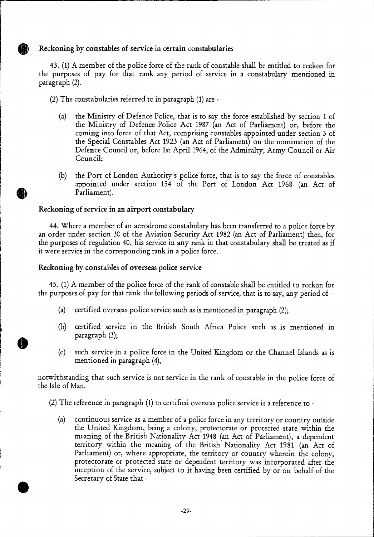# **Reckoning by constables of service in certain constabularies**

43. (1) A member of the police force of the rank of constable shall be entitled to reckon for the purposes of pay for that rank any period of service in a constabulary mentioned in paragraph (2).

- (2) The constabularies referred to in paragraph (1) are
	- (a) the Ministry of Defence Police, that is to say the force established by section 1 of the Ministry of Defence Police Act 1987 (an Act of Parliament) or, before the coming into force of that Act, comprising constables appointed under section 3 of the Special Constables Act 1923 (an Act of Parliament) on the nomination of the Defence Council or, before 1st April 1964, of the Admiralty, Army Council or Air Council;
	- (b) the Port of London Authority's police force, that is to say the force of constables appointed under section 154 of the Port of London Act 1968 (an Act of Parliament).

# **Reckoning of service in an airport constabulary**

44. Where a member of an aerodrome constabulary has been transferred to a police force by an order under section 30 of the Aviation Security Act 1982 (an Act of Parliament) then, for the purposes of regulation 40, his service in any rank in that constabulary shall be treated as if it were service in the corresponding rank in a police force.

#### **Reckoning by constables of overseas police service**

45. (1) A member of the police force of the rank of constable shall be entitled to reckon for the purposes of pay for that rank the following periods of service, that is to say, any period of -

- (a) certified overseas police service such as is mentioned in paragraph (2);
- (b) certified service in the British South Africa Police such as is mentioned in paragraph (3);
- (c) such service in a police force in the United Kingdom or the Channel Islands as is mentioned in paragraph (4),

notwithstanding that such service is not service in the rank of constable in the police force of the Isle of Man.

- (2) The reference in paragraph (1) to certified overseas police service is a reference to
	- (a) continuous service as a member of a police force in any territory or country outside the United Kingdom, being a colony, protectorate or protected state within the meaning of the British Nationality Act 1948 (an Act of Parliament), a dependent territory within the meaning of the British Nationality Act 1981 (an Act of Parliament) or, where appropriate, the territory or country wherein the colony, protectorate or protected state or dependent territory was incorporated after the inception of the service, subject to it having been certified by or on behalf of the Secretary of State that -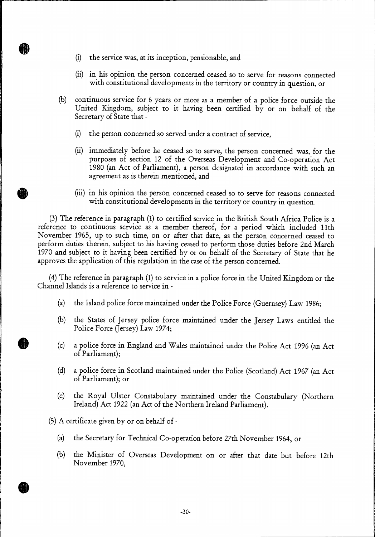- (i) the service was, at its inception, pensionable, and
- (ii) in his opinion the person concerned ceased so to serve for reasons connected with constitutional developments in the territory or country in question, or
- (b) continuous service for 6 years or more as a member of a police force outside the United Kingdom, subject to it having been certified by or on behalf of the Secretary of State that -
	- (i) the person concerned so served under a contract of service,
	- (ii) immediately before he ceased so to serve, the person concerned was, for the purposes of section 12 of the Overseas Development and Co-operation Act 1980 (an Act of Parliament), a person designated in accordance with such an agreement as is therein mentioned, and
	- (iii) in his opinion the person concerned ceased so to serve for reasons connected with constitutional developments in the territory or country in question.

(3) The reference in paragraph (1) to certified service in the British South Africa Police is a reference to continuous service as a member thereof, for a period which included 11th November 1965, up to such time, on or after that date, as the person concerned ceased to perform duties therein, subject to his having ceased to perform those duties before 2nd March 1970 and subject to it having been certified by or on behalf of the Secretary of State that he approves the application of this regulation in the case of the person concerned.

(4) The reference in paragraph (1) to service in a police force in the United Kingdom or the Channel Islands is a reference to service in -

- (a) the Island police force maintained under the Police Force (Guernsey) Law 1986;
- (b) the States of Jersey police force maintained under the Jersey Laws entitled the Police Force (Jersey) Law 1974;
- (c) a police force in England and Wales maintained under the Police Act 1996 (an Act of Parliament);
- (d) a police force in Scotland maintained under the Police (Scotland) Act 1967 (an Act of Parliament); or
- (e) the Royal Ulster Constabulary maintained under the Constabulary (Northern Ireland) Act 1922 (an Act of the Northern Ireland Parliament).

(5) A certificate given by or on behalf of -

- (a) the Secretary for Technical Co-operation before 27th November 1964, or
- (b) the Minister of Overseas Development on or after that date but before 12th November 1970,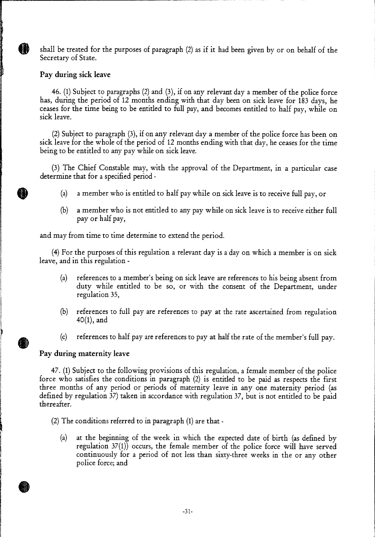shall be treated for the purposes of paragraph (2) as if it had been given by or on behalf of the Secretary of State.

# Pay during sick leave

A

46. (1) Subject to paragraphs (2) and (3), if on any relevant day a member of the police force has, during the period of 12 months ending with that day been on sick leave for 183 days, he ceases for the time being to be entitled to full pay, and becomes entitled to half pay, while on sick leave.

(2) Subject to paragraph (3), if on any relevant day a member of the police force has been on sick leave for the whole of the period of 12 months ending with that day, he ceases for the time being to be entitled to any pay while on sick leave.

(3) The Chief Constable may, with the approval of the Department, in a particular case determine that for a specified period -

- (a) a member who is entitled to half pay while on sick leave is to receive full pay, or
- (b) a member who is not entitled to any pay while on sick leave is to receive either full pay or half pay,

and may from time to time determine to extend the period.

(4) For the purposes of this regulation a relevant day is a day on which a member is on sick leave, and in this regulation -

- (a) references to a member's being on sick leave are references to his being absent from duty while entitled to be so, or with the consent of the Department, under regulation 35,
- (b) references to full pay are references to pay at the rate ascertained from regulation 40(1), and
- (c) references to half pay are references to pay at half the rate of the member's full pay.

# Pay during maternity leave

47. (1) Subject to the following provisions of this regulation, a female member of the police force who satisfies the conditions in paragraph (2) is entitled to be paid as respects the first three months of any period or periods of maternity leave in any one maternity period (as defined by regulation 37) taken in accordance with regulation 37, but is not entitled to be paid thereafter.

(2) The conditions referred to in paragraph (1) are that -

(a) at the beginning of the week in which the expected date of birth (as defined by regulation 37(1)) occurs, the female member of the police force will have served continuously for a period of not less than sixty-three weeks in the or any other police force; and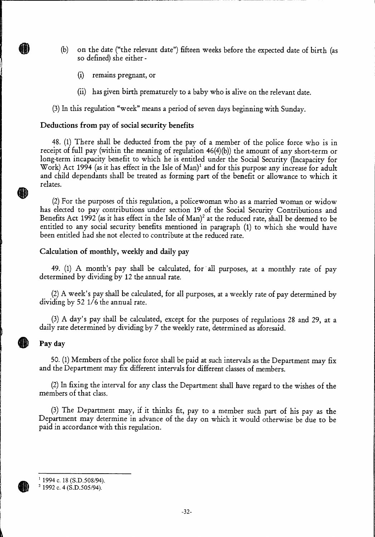- **(b) on** the date ("the relevant date") fifteen weeks before the expected date of birth (as so defined) she either -
	- (i) remains pregnant, or
	- (ii) has given birth prematurely to a baby who is alive on the relevant date.

(3) In this regulation "week" means a period of seven days beginning with Sunday.

#### **Deductions from pay of social security benefits**

48. (1) There shall be deducted from the pay of a member of the police force who is in receipt of full pay (within the meaning of regulation 46(4)(b)) the amount of any short-term or long-term incapacity benefit to which he is entitled under the Social Security (Incapacity for Work) Act 1994 (as it has effect in the Isle of  $Man$ <sup>1</sup> and for this purpose any increase for adult and child dependants shall be treated as forming part of the benefit or allowance to which it relates.

(2) For the purposes of this regulation, a policewoman who as a married woman or widow has elected to pay contributions under section 19 of the Social Security Contributions and Benefits Act 1992 (as it has effect in the Isle of Man)<sup>2</sup> at the reduced rate, shall be deemed to be entitled to any social security benefits mentioned in paragraph (1) to which she would have been entitled had she not elected to contribute at the reduced rate.

#### **Calculation of monthly, weekly and daily pay**

49. (1) A month's pay shall be calculated, for all purposes, at a monthly rate of pay determined by dividing by 12 the annual rate.

(2)A week's pay shall be calculated, for all purposes, at a weekly rate of pay determined by dividing by 52 1/6 the annual rate.

(3) A day's pay shall be calculated, except for the purposes of regulations 28 and 29, at a daily rate determined by dividing by 7 the weekly rate, determined as aforesaid.

#### **Pay day**

鰤

50. (1) Members of the police force shall be paid at such intervals as the Department may fix and the Department may fix different intervals for different classes of members.

(2)In fixing the interval for any class the Department shall have regard to the wishes of the members of that class.

(3) The Department may, if it thinks fit, pay to a member such part of his pay as the Department may determine in advance of the day on which it would otherwise be due to be paid in accordance with this regulation.

 $1$  1994 c. 18 (S.D.508/94).

 $2$  1992 c. 4 (S.D.505/94).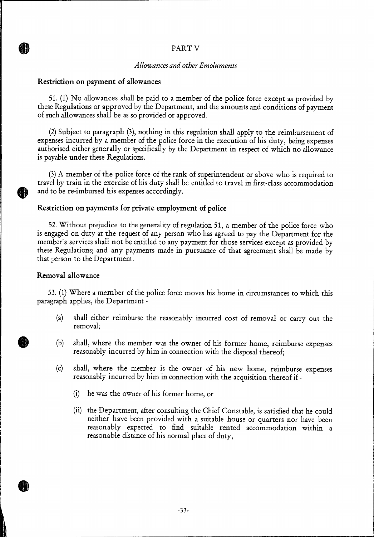# PART V

#### *Allowances and other Emoluments*

#### Restriction on payment of allowances

**AB)** 

51. (1) No allowances shall be paid to a member of the police force except as provided by these Regulations or approved by the Department, and the amounts and conditions of payment of such allowances shall be as so provided or approved.

(2) Subject to paragraph (3), nothing in this regulation shall apply to the reimbursement of expenses incurred by a member of the police force in the execution of his duty, being expenses authorised either generally or specifically by the Department in respect of which no allowance is payable under these Regulations.

(3)A member of the police force of the rank of superintendent or above who is required to travel by train in the exercise of his duty shall be entitled to travel in first-class accommodation and to be re-imbursed his expenses accordingly.

#### Restriction on payments for private employment of police

52. Without prejudice to the generality of regulation 51, a member of the police force who is engaged on duty at the request of any person who has agreed to pay the Department for the member's services shall not be entitled to any payment for those services except as provided by these Regulations; and any payments made in pursuance of that agreement shall be made by that person to the Department.

#### Removal allowance

53. (1) Where a member of the police force moves his home in circumstances to which this paragraph applies, the Department -

- (a) shall either reimburse the reasonably incurred cost of removal or carry out the removal;
- shall, where the member was the owner of his former home, reimburse expenses reasonably incurred by him in connection with the disposal thereof; (b)
- (c) shall, where the member is the owner of his new home, reimburse expenses reasonably incurred by him in connection with the acquisition thereof if -
	- (i) he was the owner of his former home, or
	- (ii) the Department, after consulting the Chief Constable, is satisfied that he could neither have been provided with a suitable house or quarters nor have been reasonably expected to find suitable rented accommodation within a reasonable distance of his normal place of duty,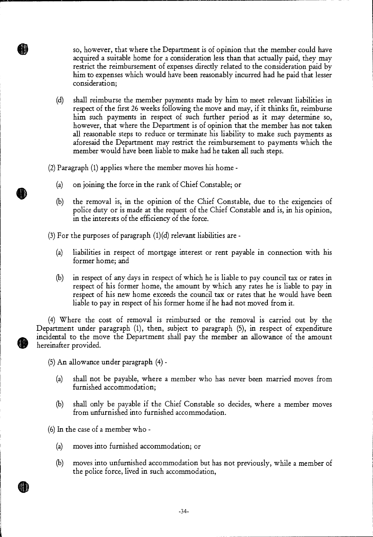so, however, that where the Department is of opinion that the member could have acquired a suitable home for a consideration less than that actually paid, they may restrict the reimbursement of expenses directly related to the consideration paid by him to expenses which would have been reasonably incurred had he paid that lesser consideration;

(d) shall reimburse the member payments made by him to meet relevant liabilities in respect of the first 26 weeks following the move and may, if it thinks fit, reimburse him such payments in respect of such further period as it may determine so, however, that where the Department is of opinion that the member has not taken all reasonable steps to reduce or terminate his liability to make such payments as aforesaid the Department may restrict the reimbursement to payments which the member would have been liable to make had he taken all such steps.

(2) Paragraph (1) applies where the member moves his home -

N)

- (a) on joining the force in the rank of Chief Constable; or
- (b) the removal is, in the opinion of the Chief Constable, due to the exigencies of police duty or is made at the request of the Chief Constable and is, in his opinion, in the interests of the efficiency of the force.

(3) For the purposes of paragraph  $(1)(d)$  relevant liabilities are -

- (a) liabilities in respect of mortgage interest or rent payable in connection with his former home; and
- (b) in respect of any days in respect of which he is liable to pay council tax or rates in respect of his former home, the amount by which any rates he is liable to pay in respect of his new home exceeds the council tax or rates that he would have been liable to pay in respect of his former home if he had not moved from it.

(4) Where the cost of removal is reimbursed or the removal is carried out by the Department under paragraph (1), then, subject to paragraph (5), in respect of expenditure incidental to the move the Department shall pay the member an allowance of the amount hereinafter provided.

(5) An allowance under paragraph (4) -

- (a) shall not be payable, where a member who has never been married moves from furnished accommodation;
- (b) shall only be payable if the Chief Constable so decides, where a member moves from unfurnished into furnished accommodation.

(6) In the case of a member who -

- (a) moves into furnished accommodation; or
- (b) moves into unfurnished accommodation but has not previously, while a member of the police force, lived in such accommodation,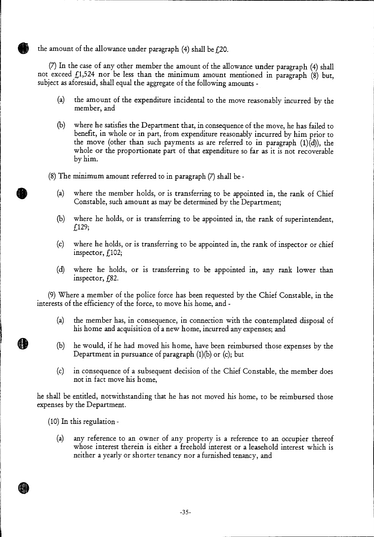the amount of the allowance under paragraph  $(4)$  shall be  $f$ 20.

(7) In the case of any other member the amount of the allowance under paragraph (4) shall not exceed  $f_11,524$  nor be less than the minimum amount mentioned in paragraph (8) but, subject as aforesaid, shall equal the aggregate of the following amounts -

- (a) the amount of the expenditure incidental to the move reasonably incurred by the member, and
- where he satisfies the Department that, in consequence of the move, he has failed to benefit, in whole or in part, from expenditure reasonably incurred by him prior to the move (other than such payments as are referred to in paragraph  $(1)(d)$ ), the whole or the proportionate part of that expenditure so far as it is not recoverable by him. (b)
- (8) The minimum amount referred to in paragraph (7) shall be
	- (a) where the member holds, or is transferring to be appointed in, the rank of Chief Constable, such amount as may be determined by the Department;
	- where he holds, or is transferring to be appointed in, the rank of superintendent, £129; (b)
	- (c) where he holds, or is transferring to be appointed in, the rank of inspector or chief inspector,  $f<sub>102</sub>$ ;
	- (d) where he holds, or is transferring to be appointed in, any rank lower than inspector,  $f_{.}82$ .

(9) Where a member of the police force has been requested by the Chief Constable, in the interests of the efficiency of the force, to move his home, and -

- (a) the member has, in consequence, in connection with the contemplated disposal of his home and acquisition of a new home, incurred any expenses; and
- (b) he would, if he had moved his home, have been reimbursed those expenses by the Department in pursuance of paragraph (1)(b) or (c); but
- (c) in consequence of a subsequent decision of the Chief Constable, the member does not in fact move his home,

he shall be entitled, notwithstanding that he has not moved his home, to be reimbursed those expenses by the Department.

(10) In this regulation -

dH

(a) any reference to an owner of any property is a reference to an occupier thereof whose interest therein is either a freehold interest or a leasehold interest which is neither a yearly or shorter tenancy nor a furnished tenancy, and

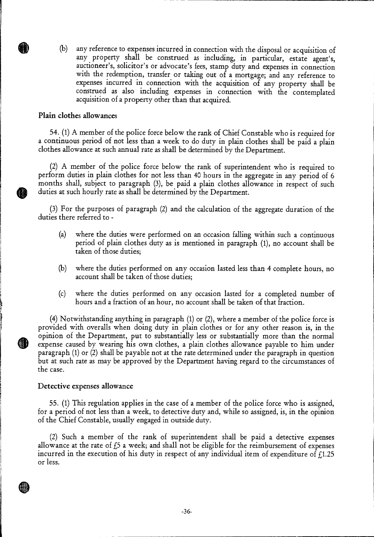(b) with the redemption, transfer or taking out of a mortgage; and any reference to expenses incurred in connection with the acquisition of any property shall be construed as also including expenses in connection with the contemplated acquisition of a property other than that acquired. auctioneer's, solicitor's or advocate's fees, stamp duty and expenses in connection any reference to expenses incurred in connection with the disposal or acquisition of any property shall be construed as including, in particular, estate agent's,

#### **Plain clothes allowances**

54. (1) A member of the police force below the rank of Chief Constable who is required for a continuous period of not less than a week to do duty in plain clothes shall be paid a plain clothes allowance at such annual rate as shall be determined by the Department.

(2) A member of the police force below the rank of superintendent who is required to perform duties in plain clothes for not less than 40 hours in the aggregate in any period of 6 months shall, subject to paragraph (3), be paid a plain clothes allowance in respect of such duties at such hourly rate as shall be determined by the Department.

(3) For the purposes of paragraph (2) and the calculation of the aggregate duration of the duties there referred to -

- (a) where the duties were performed on an occasion falling within such a continuous period of plain clothes duty as is mentioned in paragraph (1), no account shall be taken of those duties;
- (b) where the duties performed on any occasion lasted less than 4 complete hours, no account shall be taken of those duties;
- (c) where the duties performed on any occasion lasted for a completed number of hours and a fraction of an hour, no account shall be taken of that fraction.

(4) Notwithstanding anything in paragraph (1) or (2), where a member of the police force is provided with overalls when doing duty in plain clothes or for any other reason is, in the opinion of the Department, put to substantially less or substantially more than the normal expense caused by wearing his own clothes, a plain clothes allowance payable to him under paragraph (1) or (2) shall be payable not at the rate determined under the paragraph in question but at such rate as may be approved by the Department having regard to the circumstances of the case.

#### **Detective expenses allowance**

**OD** 

55. (1) This regulation applies in the case of a member of the police force who is assigned, for a period of not less than a week, to detective duty and, while so assigned, is, in the opinion of the Chief Constable, usually engaged in outside duty.

(2) Such a member of the rank of superintendent shall be paid a detective expenses allowance at the rate of  $f_2$  a week; and shall not be eligible for the reimbursement of expenses incurred in the execution of his duty in respect of any individual item of expenditure of  $f_1$ 1.25 or less.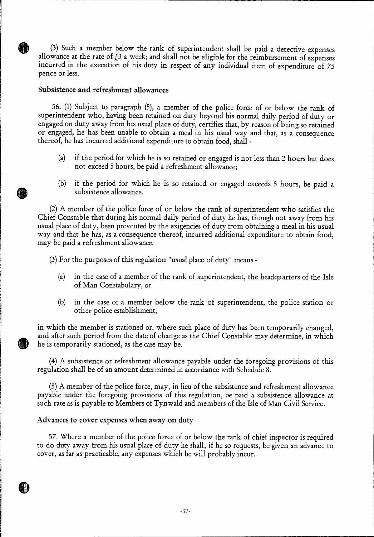(3) Such a member below the rank of superintendent shall be paid a detective expenses allowance at the rate of  $f_1$ 3 a week; and shall not be eligible for the reimbursement of expenses incurred in the execution of his duty in respect of any individual item of expenditure of 75 pence or less.

#### **Subsistence and refreshment allowances**

56. (1) Subject to paragraph (5), a member of the police force of or below the rank of superintendent who, having been retained on duty beyond his normal daily period of duty or engaged on duty away from his usual place of duty, certifies that, by reason of being so retained or engaged, he has been unable to obtain a meal in his usual way and that, as a consequence thereof, he has incurred additional expenditure to obtain food, shall -

- (a) if the period for which he is so retained or engaged is not less than 2 hours but does not exceed 5 hours, be paid a refreshment allowance;
- (b) if the period for which he is so retained or engaged exceeds 5 hours, be paid a subsistence allowance.

(2) A member of the police force of or below the rank of superintendent who satisfies the Chief Constable that during his normal daily period of duty he has, though not away from his usual place of duty, been prevented by the exigencies of duty from obtaining a meal in his usual way and that he has, as a consequence thereof, incurred additional expenditure to obtain food, may be paid a refreshment allowance.

(3) For the purposes of this regulation "usual place of duty" means -

- (a) in the case of a member of the rank of superintendent, the headquarters of the Isle of Man Constabulary, or
- (b) in the case of a member below the rank of superintendent, the police station or other police establishment,

in which the member is stationed or, where such place of duty has been temporarily changed, and after such period from the date of change as the Chief Constable may determine, in which he is temporarily stationed, as the case may be.

(4) A subsistence or refreshment allowance payable under the foregoing provisions of this regulation shall be of an amount determined in accordance with Schedule 8.

(5) A member of the police force, may, in lieu of the subsistence and refreshment allowance payable under the foregoing provisions of this regulation, be paid a subsistence allowance at such rate as is payable to Members of Tynwald and members of the Isle of Man Civil Service.

# **Advances to cover expenses when away on duty**

57. Where a member of the police force of or below the rank of chief inspector is required to do duty away from his usual place of duty he shall, if he so requests, be given an advance to cover, as far as practicable, any expenses which he will probably incur.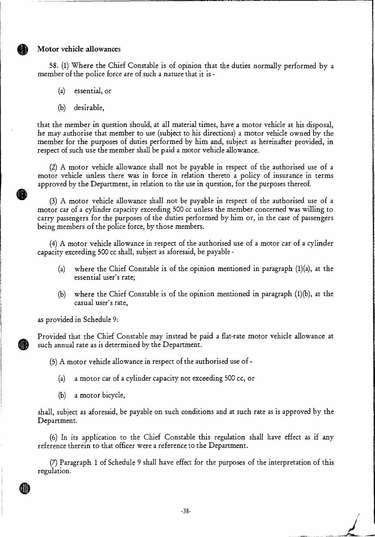#### **Motor vehicle allowances**

58. (1) Where the Chief Constable is of opinion that the duties normally performed by a member of the police force are of such a nature that it is -

(a) essential, or

(b) desirable,

that the member in question should, at all material times, have a motor vehicle at his disposal, he may authorise that member to use (subject to his directions) a motor vehicle owned by the member for the purposes of duties performed by him and, subject as hereinafter provided, in respect of such use the member shall be paid a motor vehicle allowance.

(2) A motor vehicle allowance shall not be payable in respect of the authorised use of a motor vehicle unless there was in force in relation thereto a policy of insurance in terms approved by the Department, in relation to the use in question, for the purposes thereof.

(3) A motor vehicle allowance shall not be payable in respect of the authorised use of a motor car of a cylinder capacity exceeding 500 cc unless the member concerned was willing to carry passengers for the purposes of the duties performed by him or, in the case of passengers being members of the police force, by those members.

(4) A motor vehicle allowance in respect of the authorised use of a motor car of a cylinder capacity exceeding 500 cc shall, subject as aforesaid, be payable -

- (a) where the Chief Constable is of the opinion mentioned in paragraph (1)(a), at the essential user's rate;
- (b) where the Chief Constable is of the opinion mentioned in paragraph (1)(b), at the casual user's rate,

as provided in Schedule 9:

Provided that the Chief Constable may instead be paid a flat-rate motor vehicle allowance at such annual rate as is determined by the Department.

(5) A motor vehicle allowance in respect of the authorised use of -

- (a) a motor car of a cylinder capacity not exceeding 500 cc, or
- (b) a motor bicycle,

shall, subject as aforesaid, be payable on such conditions and at such rate as is approved by the Department.

(6) In its application to the Chief Constable this regulation shall have effect as if any reference therein to that officer were a reference to the Department.

(7) Paragraph **1** of Schedule 9 shall have effect for the purposes of the interpretation of this regulation.

 $\mathbf{z}'$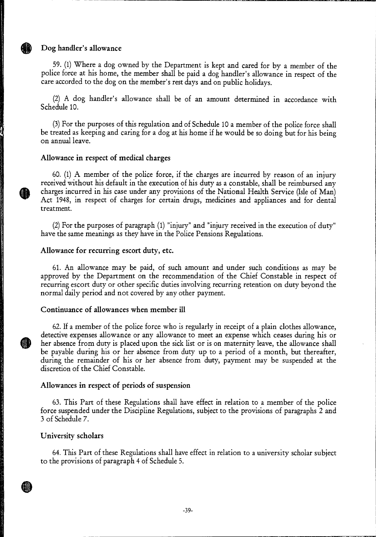#### **Dog handler's allowance**

59. (1) Where a dog owned by the Department is kept and cared for by a member of the police force at his home, the member shall be paid a dog handler's allowance in respect of the care accorded to the dog on the member's rest days and on public holidays.

(2) A dog handler's allowance shall be of an amount determined in accordance with Schedule 10.

(3)For the purposes of this regulation and of Schedule 10 a member of the police force shall be treated as keeping and caring for a dog at his home if he would be so doing but for his being on annual leave.

#### **Allowance in respect of medical charges**

60. (1) A member of the police force, if the charges are incurred by reason of an injury received without his default in the execution of his duty as a constable, shall be reimbursed any charges incurred in his case under any provisions of the National Health Service (Isle of Man) Act 1948, in respect of charges for certain drugs, medicines and appliances and for dental treatment.

(2) For the purposes of paragraph (1) "injury" and "injury received in the execution of duty" have the same meanings as they have in the Police Pensions Regulations.

#### **Allowance for recurring escort duty, etc.**

61. An allowance may be paid, of such amount and under such conditions as may be approved by the Department on the recommendation of the Chief Constable in respect of recurring escort duty or other specific duties involving recurring retention on duty beyond the normal daily period and not covered by any other payment.

#### **Continuance of allowances when member ill**

62. If a member of the police force who is regularly in receipt of a plain clothes allowance, detective expenses allowance or any allowance to meet an expense which ceases during his or her absence from duty is placed upon the sick list or is on maternity leave, the allowance shall be payable during his or her absence from duty up to a period of a month, but thereafter, during the remainder of his or her absence from duty, payment may be suspended at the discretion of the Chief Constable.

#### **Allowances in respect of periods of suspension**

63. This Part of these Regulations shall have effect in relation to a member of the police force suspended under the Discipline Regulations, subject to the provisions of paragraphs 2 and 3 of Schedule 7.

#### **University scholars**

64. This Part of these Regulations shall have effect in relation to a university scholar subject to the provisions of paragraph 4 of Schedule 5.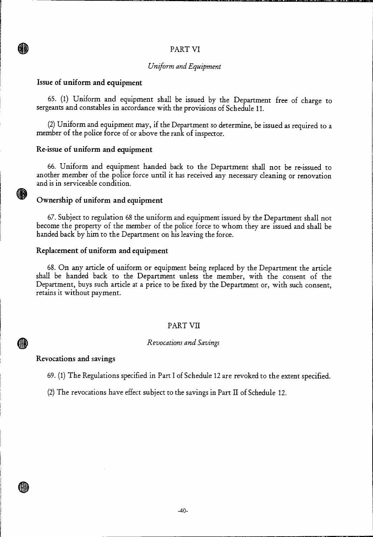#### PART VI

#### *Uniform and Equipment*

#### **Issue of uniform and equipment**

**GD** 

65. (1) Uniform and equipment shall be issued by the Department free of charge to sergeants and constables in accordance with the provisions of Schedule 11.

(2) Uniform and equipment may, if the Department so determine, be issued as required to a member of the police force of or above the rank of inspector.

#### **Re-issue of uniform and equipment**

66. Uniform and equipment handed back to the Department shall not be re-issued to another member of the police force until it has received any necessary cleaning or renovation and is in serviceable condition.

#### **Ownership of uniform and equipment**

67. Subject to regulation 68 the uniform and equipment issued by the Department shall not become the property of the member of the police force to whom they are issued and shall be handed back by him to the Department on his leaving the force.

#### **Replacement of uniform and equipment**

68. On any article of uniform or equipment being replaced by the Department the article shall be handed back to the Department unless the member, with the consent of the Department, buys such article at a price to be fixed by the Department or, with such consent, retains it without payment.

#### PART VII

#### *Revocations and Savings*

#### **Revocations and savings**

**(III)** 

ŒD

69. (1) The Regulations specified in Part I of Schedule 12 are revoked to the extent specified.

(2) The revocations have effect subject to the savings in Part **II** of Schedule 12.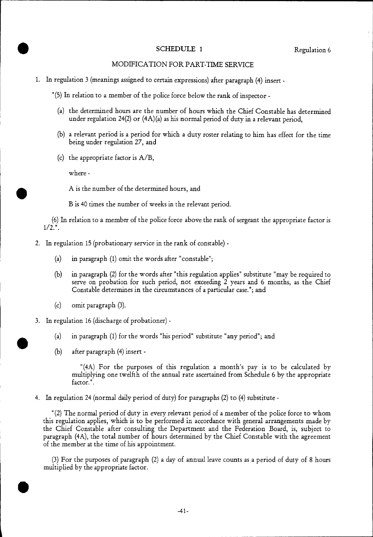# extending to the SCHEDULE 1 Regulation 6

#### MODIFICATION FOR PART-TIME SERVICE

1. In regulation 3 (meanings assigned to certain expressions) after paragraph (4) insert -

"(5) In relation to a member of the police force below the rank of inspector -

- (a) the determined hours are the number of hours which the Chief Constable has determined under regulation 24(2) or (4A)(a) as his normal period of duty in a relevant period,
- (b) a relevant period is a period for which a duty roster relating to him has effect for the time being under regulation 27, and
- (c) the appropriate factor is A/B,

where -

•

 $\bullet$ 

A is the number of the determined hours, and

B is 40 times the number of weeks in the relevant period.

(6) In relation to a member of the police force above the rank of sergeant the appropriate factor is  $1/2.$ ".

- 2. In regulation 15 (probationary service in the rank of constable)
	- (a) in paragraph (1) omit the words after "constable";
	- (b) in paragraph (2) for the words after "this regulation applies" substitute "may be required to serve on probation for such period, not exceeding 2 years and 6 months, as the Chief Constable determines in the circumstances of a particular case."; and
	- (c) omit paragraph (3).
- 3. In regulation 16 (discharge of probationer)
	- (a) in paragraph (1) for the words "his period" substitute "any period"; and
	- (b) after paragraph (4) insert -

"(4A) For the purposes of this regulation a month's pay is to be calculated by multiplying one twelfth of the annual rate ascertained from Schedule 6 by the appropriate factor.".

4. In regulation 24 (normal daily period of duty) for paragraphs (2) to (4) substitute -

"(2) The normal period of duty in every relevant period of a member of the police force to whom this regulation applies, which is to be performed in accordance with general arrangements made by the Chief Constable after consulting the Department and the Federation Board, is, subject to paragraph (4A), the total number of hours determined by the Chief Constable with the agreement of the member at the time of his appointment.

(3) For the purposes of paragraph (2) a day of annual leave counts as a period of duty of 8 hours multiplied by the appropriate factor.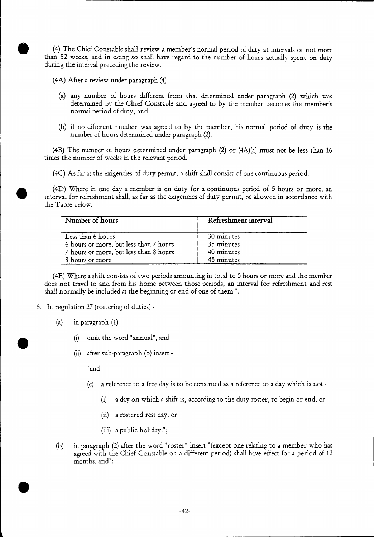than 52 weeks, and in doing so shall have regard to the number of hours actually spent on duty during the interval preceding the review. (4) The Chief Constable shall review a member's normal period of duty at intervals of not more

(4A) After a review under paragraph (4) -

•

- (a) any number of hours different from that determined under paragraph (2) which was determined by the Chief Constable and agreed to by the member becomes the member's normal period of duty, and
- (b) if no different number was agreed to by the member, his normal period of duty is the number of hours determined under paragraph (2).

(4B) The number of hours determined under paragraph (2) or (4A)(a) must not be less than 16 times the number of weeks in the relevant period.

(4C) As far as the exigencies of duty permit, a shift shall consist of one continuous period.

(4D) Where in one day a member is on duty for a continuous period of 5 hours or more, an interval for refreshment shall, as far as the exigencies of duty permit, be allowed in accordance with the Table below.

| Number of hours                        | Refreshment interval |  |
|----------------------------------------|----------------------|--|
| Less than 6 hours                      | 30 minutes           |  |
| 6 hours or more, but less than 7 hours | 35 minutes           |  |
| 7 hours or more, but less than 8 hours | 40 minutes           |  |
| 8 hours or more                        | 45 minutes           |  |

(4E) Where a shift consists of two periods amounting in total to 5 hours or more and the member does not travel to and from his home between those periods, an interval for refreshment and rest shall normally be included at the beginning or end of one of them.".

- 5. In regulation 27 (rostering of duties)
	- (a) in paragraph  $(1)$  -
		- (i) omit the word "annual", and
		- (ii) after sub-paragraph (b) insert -

"and

- (c) a reference to a free day is to be construed as a reference to a day which is not
	- (i) a day on which a shift is, according to the duty roster, to begin or end, or
	- (ii) a rostered rest day, or
	- (iii) a public holiday.";
- (b) in paragraph (2) after the word "roster" insert "(except one relating to a member who has agreed with the Chief Constable on a different period) shall have effect for a period of 12 months, and";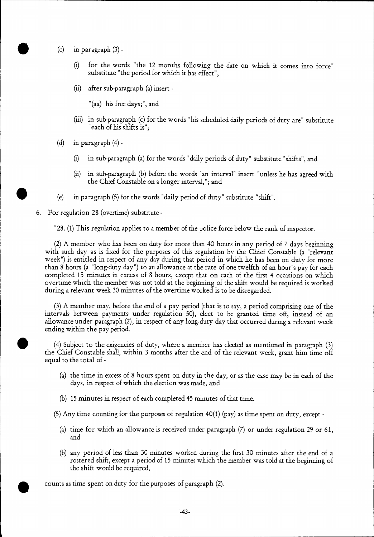- (c) in paragraph  $(3)$  -
	- (i) for the words "the 12 months following the date on which it comes into force" substitute "the period for which it has effect",
	- (ii) after sub-paragraph (a) insert -

"(aa) his free days;", and

- (iii) in sub-paragraph (c) for the words "his scheduled daily periods of duty are" substitute "each of his shifts is";
- (d) in paragraph  $(4)$  -
	- (i) in sub-paragraph (a) for the words "daily periods of duty" substitute "shifts", and
	- (ii) in sub-paragraph (b) before the words "an interval" insert "unless he has agreed with the Chief Constable on a longer interval,"; and
- (e) in paragraph (5) for the words "daily period of duty" substitute "shift".
- 6. For regulation 28 (overtime) substitute -

"28. (1) This regulation applies to a member of the police force below the rank of inspector.

(2) A member who has been on duty for more than 40 hours in any period of 7 days beginning with such day as is fixed for the purposes of this regulation by the Chief Constable (a "relevant week") is entitled in respect of any day during that period in which he has been on duty for more than 8 hours (a "long-duty day") to an allowance at the rate of one twelfth of an hour's pay for each completed 15 minutes in excess of 8 hours, except that on each of the first 4 occasions on which overtime which the member was not told at the beginning of the shift would be required is worked during a relevant week 30 minutes of the overtime worked is to be disregarded.

(3) A member may, before the end of a pay period (that is to say, a period comprising one of the intervals between payments under regulation 50), elect to be granted time off, instead of an allowance under paragraph (2), in respect of any long-duty day that occurred during a relevant week ending within the pay period.

(4) Subject to the exigencies of duty, where a member has elected as mentioned in paragraph (3) the Chief Constable shall, within 3 months after the end of the relevant week, grant him time off equal to the total of -

- (a) the time in excess of 8 hours spent on duty in the day, or as the case may be in each of the days, in respect of which the election was made, and
- (b) 15 minutes in respect of each completed 45 minutes of that time.

(5) Any time counting for the purposes of regulation 40(1) (pay) as time spent on duty, except -

- (a) time for which an allowance is received under paragraph (7) or under regulation 29 or 61, and
- (b) any period of less than 30 minutes worked during the first 30 minutes after the end of a rostered shift, except a period of 15 minutes which the member was told at the beginning of the shift would be required,

counts as time spent on duty for the purposes of paragraph (2).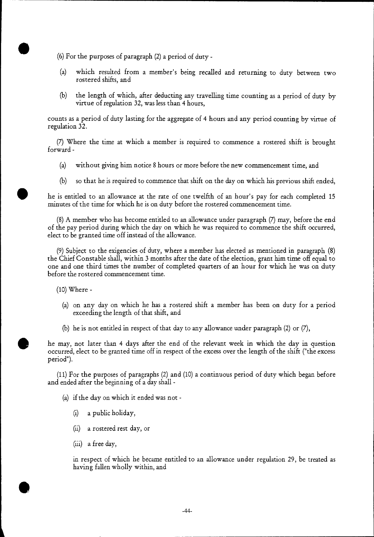$(6)$  For the purposes of paragraph  $(2)$  a period of duty -

- (a) which resulted from a member's being recalled and returning to duty between two rostered shifts, and
- (b) the length of which, after deducting any travelling time counting as a period of duty by virtue of regulation 32, was less than 4 hours,

counts as a period of duty lasting for the aggregate of 4 hours and any period counting by virtue of regulation 32.

(7) Where the time at which a member is required to commence a rostered shift is brought forward -

- (a) without giving him notice 8 hours or more before the new commencement time, and
- (b) so that he is required to commence that shift on the day on which his previous shift ended,

• he is entitled to an allowance at the rate of one twelfth of an hour's pay for each completed 15 minutes of the time for which he is on duty before the rostered commencement time.

(8) A member who has become entitled to an allowance under paragraph (7) may, before the end of the pay period during which the day on which he was required to commence the shift occurred, elect to be granted time off instead of the allowance.

(9) Subject to the exigencies of duty, where a member has elected as mentioned in paragraph (8) the Chief Constable shall, within 3 months after the date of the election, grant him time off equal to one and one third times the number of completed quarters of an hour for which he was on duty before the rostered commencement time.

(10) Where -

•

a

- (a) on any day on which he has a rostered shift a member has been on duty for a period exceeding the length of that shift, and
- (b) he is not entitled in respect of that day to any allowance under paragraph  $(2)$  or  $(7)$ ,

he may, not later than 4 days after the end of the relevant week in which the day in question occurred, elect to be granted time off in respect of the excess over the length of the shift ("the excess period").

(11) For the purposes of paragraphs (2) and (10) a continuous period of duty which began before and ended after the beginning of a day shall -

(a) if the day on which it ended was not -

- (i) a public holiday,
- (ii) a rostered rest day, or
- (iii) a free day,

in respect of which he became entitled to an allowance under regulation 29, be treated as having fallen wholly within, and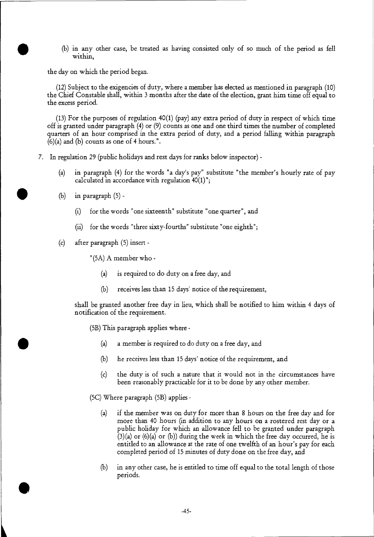(b) in any other case, be treated as having consisted only of so much of the period as fell within,

the day on which the period began.

•

•

•

 $(12)$  Subject to the exigencies of duty, where a member has elected as mentioned in paragraph  $(10)$ the Chief Constable shall, within 3 months after the date of the election, grant him time off equal to the excess period.

(13) For the purposes of regulation 40(1) (pay) any extra period of duty in respect of which time off is granted under paragraph (4) or (9) counts as one and one third times the number of completed quarters of an hour comprised in the extra period of duty, and a period falling within paragraph  $(6)(a)$  and  $(b)$  counts as one of 4 hours.".

- 7. In regulation 29 (public holidays and rest days for ranks below inspector)
	- (a) in paragraph (4) for the words "a day's pay" substitute "the member's hourly rate of pay calculated in accordance with regulation 40(1)";
	- (b) in paragraph  $(5)$  -
		- (i) for the words "one sixteenth" substitute "one quarter", and
		- (ii) for the words "three sixty-fourths" substitute "one eighth";
	- (c) after paragraph (5) insert -

"(5A) A member who -

- (a) is required to do duty on a free day, and
- (b) receives less than 15 days' notice of the requirement,

shall be granted another free day in lieu, which shall be notified to him within 4 days of notification of the requirement.

(5B) This paragraph applies where -

- (a) a member is required to do duty on a free day, and
- (b) he receives less than 15 days' notice of the requirement, and
- (c) the duty is of such a nature that it would not in the circumstances have been reasonably practicable for it to be done by any other member.

(5C) Where paragraph (5B) applies -

- (a) if the member was on duty for more than 8 hours on the free day and for more than 40 hours (in addition to any hours on a rostered rest day or a public holiday for which an allowance fell to be granted under paragraph  $(3)(a)$  or  $(6)(a)$  or  $(b)$ ) during the week in which the free day occurred, he is entitled to an allowance at the rate of one twelfth of an hour's pay for each completed period of 15 minutes of duty done on the free day, and
- (b) in any other case, he is entitled to time off equal to the total length of those periods.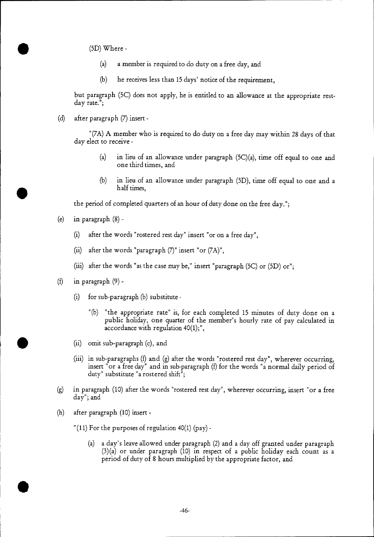(5D) Where -

•

- (a) a member is required to do duty on a free day, and
- (b) he receives less than 15 days' notice of the requirement,

but paragraph (5C) does not apply, he is entitled to an allowance at the appropriate restday rate.";

(d) after paragraph (7) insert -

"(7A) A member who is required to do duty on a free day may within 28 days of that day elect to receive -

- (a) in lieu of an allowance under paragraph (5C)(a), time off equal to one and one third times, and
- (b) in lieu of an allowance under paragraph (5D), time off equal to one and a half times,

the period of completed quarters of an hour of duty done on the free day.";

- (e) in paragraph (8)
	- (i) after the words "rostered rest day" insert "or on a free day",
	- (ii) after the words "paragraph  $(7)$ " insert "or  $(7A)$ ",
	- (iii) after the words "as the case may be," insert "paragraph (5C) or (5D) or";
- (f) in paragraph  $(9)$  -
	- (i) for sub-paragraph (b) substitute
		- "(b) "the appropriate rate" is, for each completed 15 minutes of duty done on a public holiday, one quarter of the member's hourly rate of pay calculated in accordance with regulation 40(1);",
	- (ii) omit sub-paragraph (c), and
	- (iii) in sub-paragraphs (f) and (g) after the words "rostered rest day", wherever occurring, insert "or a free day" and in sub-paragraph (f) for the words "a normal daily period of duty" substitute "a rostered shift";
- (g) in paragraph (10) after the words "rostered rest day", wherever occurring, insert "or a free day"; and
- (h) after paragraph (10) insert -

•

- "(11) For the purposes of regulation 40(1) (pay)
	- (a) a day's leave allowed under paragraph (2) and a day off granted under paragraph (3)(a) or under paragraph (10) in respect of a public holiday each count as a period of duty of 8 hours multiplied by the appropriate factor, and

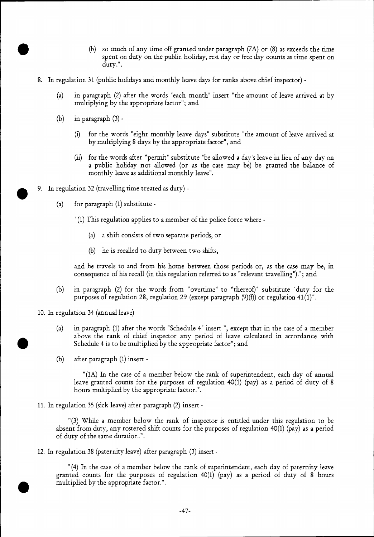- (b) so much of any time off granted under paragraph (7A) or (8) as exceeds the time spent on duty on the public holiday, rest day or free day counts as time spent on duty.".
- 8. In regulation 31 (public holidays and monthly leave days for ranks above chief inspector)
	- (a) in paragraph (2) after the words "each month" insert "the amount of leave arrived at by multiplying by the appropriate factor"; and
	- (b) in paragraph  $(3)$  -
		- (i) for the words "eight monthly leave days" substitute "the amount of leave arrived at by multiplying 8 days by the appropriate factor", and
		- (ii) for the words after "permit" substitute "be allowed a day's leave in lieu of any day on a public holiday not allowed (or as the case may be) be granted the balance of monthly leave as additional monthly leave".
- 9. In regulation 32 (travelling time treated as duty)
	- (a) for paragraph (1) substitute
		- "(1) This regulation applies to a member of the police force where
			- (a) a shift consists of two separate periods, or
			- (b) he is recalled to duty between two shifts,

and he travels to and from his home between those periods or, as the case may be, in consequence of his recall (in this regulation referred to as "relevant travelling")."; and

(b) in paragraph (2) for the words from "overtime" to "thereof)" substitute "duty for the purposes of regulation 28, regulation 29 (except paragraph  $(9)(f)$ ) or regulation 41(1)".

10. In regulation 34 (annual leave) -

- (a) in paragraph (1) after the words "Schedule 4" insert ", except that in the case of a member above the rank of chief inspector any period of leave calculated in accordance with Schedule 4 is to be multiplied by the appropriate factor"; and
- (b) after paragraph (1) insert -

"(1A) In the case of a member below the rank of superintendent, each day of annual leave granted counts for the purposes of regulation  $40(1)$  (pay) as a period of duty of 8 hours multiplied by the appropriate factor.".

11. In regulation 35 (sick leave) after paragraph (2) insert -

"(3) While a member below the rank of inspector is entitled under this regulation to be absent from duty, any rostered shift counts for the purposes of regulation 40(1) (pay) as a period of duty of the same duration.".

12. In regulation 38 (paternity leave) after paragraph (3) insert -

"(4) In the case of a member below the rank of superintendent, each day of paternity leave granted counts for the purposes of regulation 40(1) (pay) as a period of duty of 8 hours multiplied by the appropriate factor.".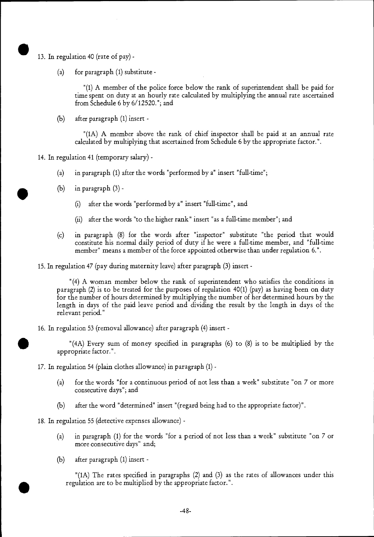- 13. In regulation 40 (rate of pay) -
	- (a) for paragraph (1) substitute -

"(1) A member of the police force below the rank of superintendent shall be paid for time spent on duty at an hourly rate calculated by multiplying the annual rate ascertained from Schedule 6 by 6/12520."; and

(b) after paragraph (1) insert -

"(1A) A member above the rank of chief inspector shall be paid at an annual rate calculated by multiplying that ascertained from Schedule 6 by the appropriate factor.".

14. In regulation 41 (temporary salary) -

- (a) in paragraph (1) after the words "performed by a" insert "full-time";
- (b) in paragraph  $(3)$ 
	- after the words "performed by a" insert "full-time", and
	- (ii) after the words "to the higher rank" insert "as a full-time member"; and
- (c) in paragraph (8) for the words after "inspector" substitute "the period that would constitute his normal daily period of duty if he were a full-time member, and "full-time member" means a member of the force appointed otherwise than under regulation 6.".

15. In regulation 47 (pay during maternity leave) after paragraph (3) insert -

"(4) A woman member below the rank of superintendent who satisfies the conditions in paragraph (2) is to be treated for the purposes of regulation 40(1) (pay) as having been on duty for the number of hours determined by multiplying the number of her determined hours by the length in days of the paid leave period and dividing the result by the length in days of the relevant period."

16. In regulation 53 (removal allowance) after paragraph (4) insert -

"(4A) Every sum of money specified in paragraphs (6) to (8) is to be multiplied by the appropriate factor.".

17. In regulation 54 (plain clothes allowance) in paragraph (1) -

- (a) for the words "for a continuous period of not less than a week" substitute "on 7 or more consecutive days"; and
- (b) after the word "determined" insert "(regard being had to the appropriate factor)".

18. In regulation 55 (detective expenses allowance) -

- (a) in paragraph (1) for the words "for a period of not less than a week" substitute "on 7 or more consecutive days" and;
- (b) after paragraph (1) insert -

"(1A) The rates specified in paragraphs (2) and (3) as the rates of allowances under this regulation are to be multiplied by the appropriate factor.".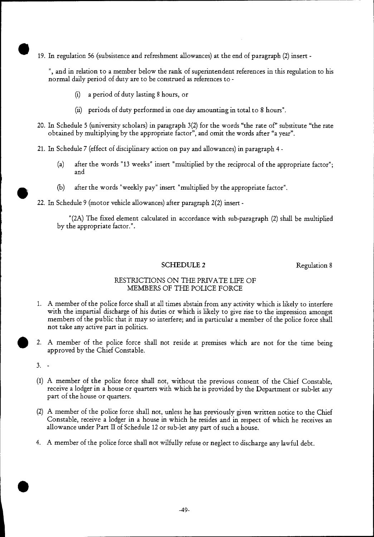19. In regulation 56 (subsistence and refreshment allowances) at the end of paragraph (2) insert -

", and in relation to a member below the rank of superintendent references in this regulation to his normal daily period of duty are to be construed as references to -

- (i) a period of duty lasting 8 hours, or
- (ii) periods of duty performed in one day amounting in total to 8 hours".
- 20. In Schedule 5 (university scholars) in paragraph 3(2) for the words "the rate of" substitute "the rate obtained by multiplying by the appropriate factor", and omit the words after "a year".
- 21. In Schedule 7 (effect of disciplinary action on pay and allowances) in paragraph 4
	- (a) after the words "13 weeks" insert "multiplied by the reciprocal of the appropriate factor"; and
	- (b) after the words "weekly pay" insert "multiplied by the appropriate factor".
- 22. In Schedule 9 (motor vehicle allowances) after paragraph 2(2) insert -

"(2A) The fixed element calculated in accordance with sub-paragraph (2) shall be multiplied by the appropriate factor.".

#### SCHEDULE 2 Regulation 8

#### RESTRICTIONS ON THE PRIVATE LIFE OF MEMBERS OF THE POLICE FORCE

- 1. A member of the police force shall at all times abstain from any activity which is likely to interfere with the impartial discharge of his duties or which is likely to give rise to the impression amongst members of the public that it may so interfere; and in particular a member of the police force shall not take any active part in politics.
- 2. A member of the police force shall not reside at premises which are not for the time being approved by the Chief Constable.

- (1) A member of the police force shall not, without the previous consent of the Chief Constable, receive a lodger in a house or quarters with which he is provided by the Department or sub-let any part of the house or quarters.
- (2) A member of the police force shall not, unless he has previously given written notice to the Chief Constable, receive a lodger in a house in which he resides and in respect of which he receives an allowance under Part II of Schedule 12 or sub-let any part of such a house.
- 4. A member of the police force shall not wilfully refuse or neglect to discharge any lawful debt.

<sup>3. -</sup>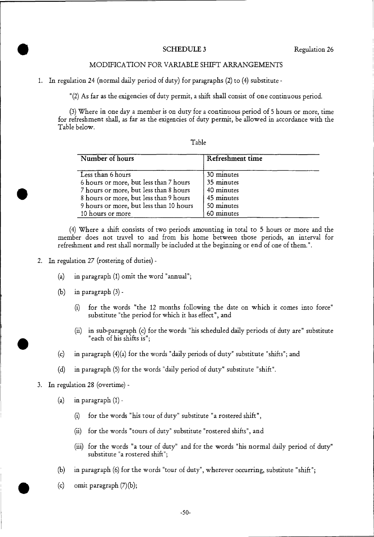#### SCHEDULE 3 Regulation 26

#### MODIFICATION FOR VARIABLE SHIFT ARRANGEMENTS

1. In regulation 24 (normal daily period of duty) for paragraphs (2) to (4) substitute -

"(2) As far as the exigencies of duty permit, a shift shall consist of one continuous period.

(3) Where in one day a member is on duty for a continuous period of 5 hours or more, time for refreshment shall, as far as the exigencies of duty permit, be allowed in accordance with the Table below.

#### Table

| Number of hours                         | Refreshment time |
|-----------------------------------------|------------------|
| Less than 6 hours                       | 30 minutes       |
| 6 hours or more, but less than 7 hours  | 35 minutes       |
| 7 hours or more, but less than 8 hours  | 40 minutes       |
| 8 hours or more, but less than 9 hours  | 45 minutes       |
| 9 hours or more, but less than 10 hours | 50 minutes       |
| 10 hours or more                        | 60 minutes       |

(4) Where a shift consists of two periods amounting in total to 5 hours or more and the member does not travel to and from his home between those periods, an interval for refreshment and rest shall normally be included at the beginning or end of one of them.".

- 2. In regulation 27 (rostering of duties)
	- (a) in paragraph (1) omit the word "annual";
	- (b) in paragraph (3)
		- (i) for the words "the 12 months following the date on which it comes into force" substitute "the period for which it has effect", and
		- (ii) in sub-paragraph (c) for the words "his scheduled daily periods of duty are" substitute "each of his shifts is";
	- (c) in paragraph (4)(a) for the words "daily periods of duty" substitute "shifts"; and
	- (d) in paragraph (5) for the words "daily period of duty" substitute "shift".
- 3. In regulation 28 (overtime)
	- (a) in paragraph (1)
		- (i) for the words "his tour of duty" substitute "a rostered shift",
		- (ii) for the words "tours of duty" substitute "rostered shifts", and
		- (iii) for the words "a tour of duty" and for the words "his normal daily period of duty" substitute "a rostered shift";
	- (b) in paragraph (6) for the words "tour of duty", wherever occurring, substitute "shift";
	- (c) omit paragraph (7)(b);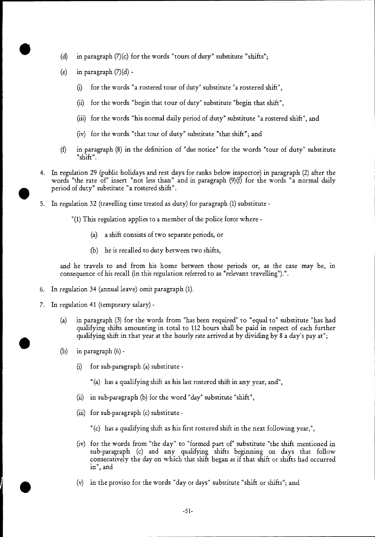- (d) in paragraph  $(7)(c)$  for the words "tours of duty" substitute "shifts";
- (e) in paragraph  $(7)(d)$  -
	- (i) for the words "a rostered tour of duty" substitute "a rostered shift",
	- (ii) for the words "begin that tour of duty" substitute "begin that shift",
	- (iii) for the words "his normal daily period of duty" substitute "a rostered shift", and
	- (iv) for the words "that tour of duty" substitute "that shift"; and
- (f) in paragraph (8) in the definition of "due notice" for the words "tour of duty" substitute "shift".
- 4. In regulation 29 (public holidays and rest days for ranks below inspector) in paragraph (2) after the words "the rate of" insert "not less than" and in paragraph (9)(f) for the words "a normal daily period of duty" substitute "a rostered shift".
- 5. In regulation 32 (travelling time treated as duty) for paragraph (1) substitute
	- "(1) This regulation applies to a member of the police force where
		- (a) a shift consists of two separate periods, or
		- (b) he is recalled to duty between two shifts,

and he travels to and from his home between those periods or, as the case may be, in consequence of his recall (in this regulation referred to as "relevant travelling").".

- 6. In regulation 34 (annual leave) omit paragraph (1).
- 7. In regulation 41 (temporary salary)
	- (a) in paragraph (3) for the words from "has been required" to "equal to" substitute "has had qualifying shifts amounting in total to 112 hours shall be paid in respect of each further qualifying shift in that year at the hourly rate arrived at by dividing by 8 a day's pay at";
	- (b) in paragraph (6)
		- (i) for sub-paragraph (a) substitute
			- "(a) has a qualifying shift as his last rostered shift in any year, and",
		- (ii) in sub-paragraph (b) for the word "day" substitute "shift",
		- (iii) for sub-paragraph (c) substitute
			- " (c) has a qualifying shift as his first rostered shift in the next following year,",
		- (iv) for the words from "the day" to "formed part of" substitute "the shift mentioned in sub-paragraph (c) and any qualifying shifts beginning on days that follow consecutively the day on which that shift began as if that shift or shifts had occurred in", and<br>
		(v) in the proviso for the words "day or days" substitute "shift or shifts"; and
		-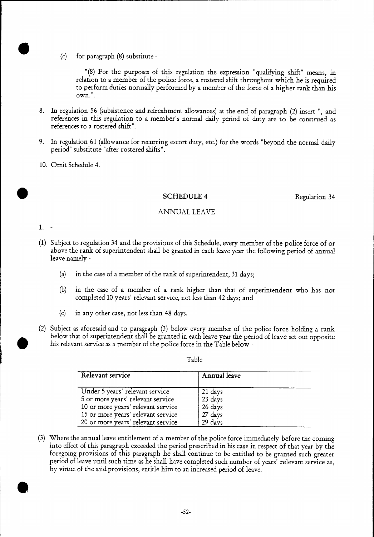(c) for paragraph (8) substitute -

"(8) For the purposes of this regulation the expression "qualifying shift" means, in relation to a member of the police force, a rostered shift throughout which he is required to perform duties normally performed by a member of the force of a higher rank than his own.".

- 8. In regulation 56 (subsistence and refreshment allowances) at the end of paragraph (2) insert ", and references in this regulation to a member's normal daily period of duty are to be construed as references to a rostered shift".
- 9. In regulation 61 (allowance for recurring escort duty, etc.) for the words "beyond the normal daily period" substitute "after rostered shifts".
- 10. Omit Schedule 4.

#### **SCHEDULE 4** Regulation 34

#### ANNUAL LEAVE

1.

- (1) Subject to regulation 34 and the provisions of this Schedule, every member of the police force of or above the rank of superintendent shall be granted in each leave year the following period of annual leave namely -
	- (a) in the case of a member of the rank of superintendent, 31 days;
	- (b) in the case of a member of a rank higher than that of superintendent who has not completed 10 years' relevant service, not less than 42 days; and
	- (c) in any other case, not less than 48 days.
- (2) Subject as aforesaid and to paragraph (3) below every member of the police force holding a rank below that of superintendent shall be granted in each leave year the period of leave set out opposite his relevant service as a member of the police force in the Table below -

Table

| Relevant service                   | Annual leave |  |
|------------------------------------|--------------|--|
| Under 5 years' relevant service    | 21 days      |  |
| 5 or more years' relevant service  | 23 days      |  |
| 10 or more years' relevant service | 26 days      |  |
| 15 or more years' relevant service | 27 days      |  |
| 20 or more years' relevant service | 29 days      |  |

(3) Where the annual leave entitlement of a member of the police force immediately before the coming into effect of this paragraph exceeded the period prescribed in.his case in respect of that year by the foregoing provisions of this paragraph he shall continue to be entitled to be granted such greater period of leave until such time as he shall have completed such number of years' relevant service as, by virtue of the said provisions, entitle him to an increased period of leave.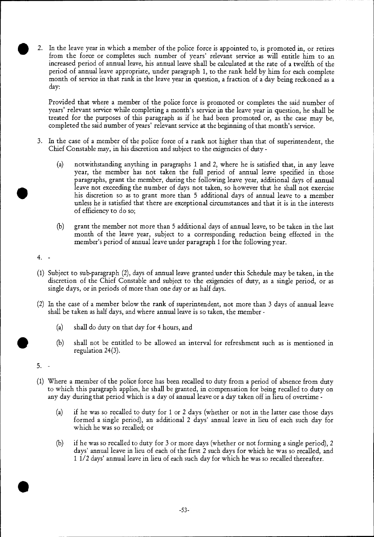• 2. In the leave year in which a member of the police force is appointed to, is promoted in, or retires from the force or completes such number of years' relevant service as will entitle him to an increased period of annual leave, his annual leave shall be calculated at the rate of a twelfth of the period of annual leave appropriate, under paragraph 1, to the rank held by him for each complete month of service in that rank in the leave year in question, a fraction of a day being reckoned as a day:

Provided that where a member of the police force is promoted or completes the said number of years' relevant service while completing a month's service in the leave year in question, he shall be treated for the purposes of this paragraph as if he had been promoted or, as the case may be, completed the said number of years' relevant service at the beginning of that month's service.

- 3. In the case of a member of the police force of a rank not higher than that of superintendent, the Chief Constable may, in his discretion and subject to the exigencies of duty -
	- (a) notwithstanding anything in paragraphs 1 and 2, where he is satisfied that, in any leave year, the member has not taken the full period of annual leave specified in those paragraphs, grant the member, during the following leave year, additional days of annual leave not exceeding the number of days not taken, so however that he shall not exercise his discretion so as to grant more than 5 additional days of annual leave to a member unless he is satisfied that there are exceptional circumstances and that it is in the interests of efficiency to do so;
	- (b) grant the member not more than 5 additional days of annual leave, to be taken in the last month of the leave year, subject to a corresponding reduction being effected in the member's period of annual leave under paragraph 1 for the following year.
- $4.$
- (1) Subject to sub-paragraph (2), days of annual leave granted under this Schedule may be taken, in the discretion of the Chief Constable and subject to the exigencies of duty, as a single period, or as single days, or in periods of more than one day or as half days.
- (2) In the case of a member below the rank of superintendent, not more than 3 days of annual leave shall be taken as half days, and where annual leave is so taken, the member -
	- (a) shall do duty on that day for 4 hours, and
	- (b) shall not be entitled to be allowed an interval for refreshment such as is mentioned in regulation 24(3).

•

- (1) Where a member of the police force has been recalled to duty from a period of absence from duty to which this paragraph applies, he shall be granted, in compensation for being recalled to duty on any day during that period which is a day of annual leave or a day taken off in lieu of overtime -
	- (a) if he was so recalled to duty for 1 or 2 days (whether or not in the latter case those days formed a single period), an additional 2 days' annual leave in lieu of each such day for which he was so recalled; or
	- if he was so recalled to duty for 3 or more days (whether or not forming a single period), 2 days' annual leave in lieu of each of the first 2 such days for which he was so recalled, and 1 1/2 days' annual leave in lieu of each such day for which he was so recalled thereafter. (b)

<sup>5.</sup>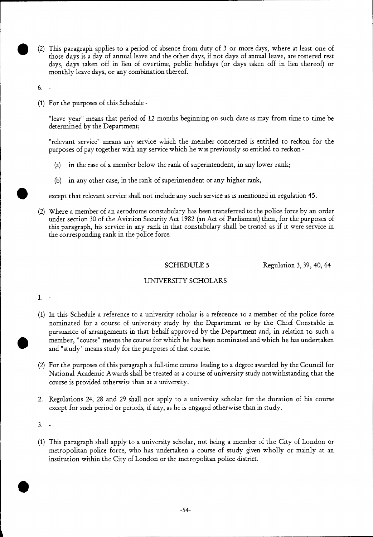• (2) This paragraph applies to a period of absence from duty of 3 or more days, where at least one of those days is a day of annual leave and the other days, if not days of annual leave, are rostered rest days, days taken off in lieu of overtime, public holidays (or days taken off in lieu thereof) or monthly leave days, or any combination thereof.

6.

(1) For the purposes of this Schedule -

"leave year" means that period of 12 months beginning on such date as may from time to time be determined by the Department;

"relevant service" means any service which the member concerned is entitled to reckon for the purposes of pay together with any service which he was previously so entitled to reckon -

- (a) in the case of a member below the rank of superintendent, in any lower rank;
- (b) in any other case, in the rank of superintendent or any higher rank,

except that relevant service shall not include any such service as is mentioned in regulation 45.

(2) Where a member of an aerodrome constabulary has been transferred to the police force by an order under section 30 of the Aviation Security Act 1982 (an Act of Parliament) then, for the purposes of this paragraph, his service in any rank in that constabulary shall be treated as if it were service in the corresponding rank in the police force.

SCHEDULE 5 Regulation 3, 39, 40, 64

#### UNIVERSITY SCHOLARS

1.

- (1) In this Schedule a reference to a university scholar is a reference to a member of the police force nominated for a course of university study by the Department or by the Chief Constable in pursuance of arrangements in that behalf approved by the Department and, in relation to such a member, "course" means the course for which he has been nominated and which he has undertaken and "study" means study for the purposes of that course. •
	- (2) For the purposes of this paragraph a full-time course leading to a degree awarded by the Council for National Academic Awards shall be treated as a course of university study notwithstanding that the course is provided otherwise than at a university.
	- 2. Regulations 24, 28 and 29 shall not apply to a university scholar for the duration of his course except for such period or periods, if any, as he is engaged otherwise than in study.

•

(1) This paragraph shall apply to a university scholar, not being a member of the City of London or metropolitan police force, who has undertaken a course of study given wholly or mainly at an institution within the City of London or the metropolitan police district.

<sup>3. -</sup>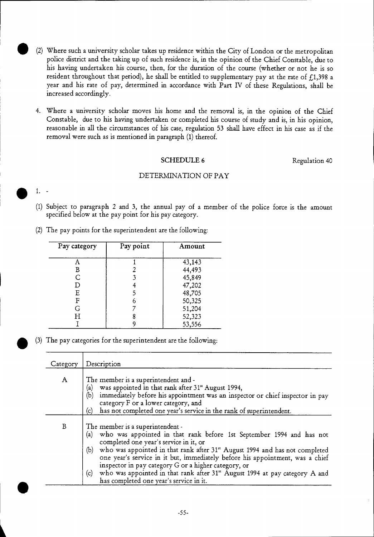- (2) Where such a university scholar takes up residence within the City of London or the metropolitan police district and the taking up of such residence is, in the opinion of the Chief Constable, due to his having undertaken his course, then, for the duration of the course (whether or not he is so resident throughout that period), he shall be entitled to supplementary pay at the rate of  $f.1,398$  a year and his rate of pay, determined in accordance with Part IV of these Regulations, shall be increased accordingly.
- 4. Where a university scholar moves his home and the removal is, in the opinion of the Chief Constable, due to his having undertaken or completed his course of study and is, in his opinion, reasonable in all the circumstances of his case, regulation 53 shall have effect in his case as if the removal were such as is mentioned in paragraph (1) thereof.

#### SCHEDULE 6 Regulation 40

#### DETERMINATION OF PAY

*0* 1. -

- (1) Subject to paragraph 2 and 3, the annual pay of a member of the police force is the amount specified below at the pay point for his pay category.
- (2) The pay points for the superintendent are the following:

| Pay category | Pay point | Amount |
|--------------|-----------|--------|
|              |           |        |
|              |           | 43,143 |
| B            |           | 44,493 |
| Ć            |           | 45,849 |
| D            |           | 47,202 |
| Ε            |           | 48,705 |
| F            | 6         | 50,325 |
| G            |           | 51,204 |
| Н            | 8         | 52,323 |
|              |           | 53,556 |

(3) The pay categories for the superintendent are the following:

| Category     | Description                                                                                                                                                                                                                                                                                                                                                                                                                                                                                                            |
|--------------|------------------------------------------------------------------------------------------------------------------------------------------------------------------------------------------------------------------------------------------------------------------------------------------------------------------------------------------------------------------------------------------------------------------------------------------------------------------------------------------------------------------------|
| $\mathbf{A}$ | The member is a superintendent and -<br>was appointed in that rank after 31st August 1994,<br>(a)<br>(b)<br>immediately before his appointment was an inspector or chief inspector in pay<br>category F or a lower category, and<br>has not completed one year's service in the rank of superintendent.<br>(c)                                                                                                                                                                                                         |
| $\, {\bf B}$ | The member is a superintendent -<br>(a) who was appointed in that rank before 1st September 1994 and has not<br>completed one year's service in it, or<br>who was appointed in that rank after 31st August 1994 and has not completed<br>(b)<br>one year's service in it but, immediately before his appointment, was a chief<br>inspector in pay category G or a higher category, or<br>who was appointed in that rank after 31st August 1994 at pay category A and<br>(c)<br>has completed one year's service in it. |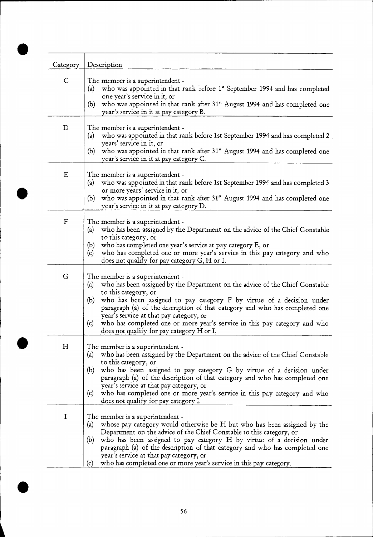| Category<br>$\mathsf{C}$  | Description<br>The member is a superintendent -<br>who was appointed in that rank before 1 <sup>st</sup> September 1994 and has completed<br>(a)<br>one year's service in it, or                       |
|---------------------------|--------------------------------------------------------------------------------------------------------------------------------------------------------------------------------------------------------|
|                           | who was appointed in that rank after 31 <sup>st</sup> August 1994 and has completed one<br>(b)<br>year's service in it at pay category B.                                                              |
| D                         | The member is a superintendent -<br>who was appointed in that rank before 1st September 1994 and has completed 2<br>(a)<br>years' service in it, or                                                    |
|                           | who was appointed in that rank after 31 <sup>st</sup> August 1994 and has completed one<br>(b)<br>year's service in it at pay category C.                                                              |
| ${\bf E}$                 | The member is a superintendent -                                                                                                                                                                       |
|                           | who was appointed in that rank before 1st September 1994 and has completed 3<br>(a)<br>or more years' service in it, or                                                                                |
|                           | who was appointed in that rank after 31 <sup>st</sup> August 1994 and has completed one<br>(b)<br>year's service in it at pay category D.                                                              |
| $\boldsymbol{\mathrm{F}}$ | The member is a superintendent -<br>who has been assigned by the Department on the advice of the Chief Constable<br>(a)                                                                                |
|                           | to this category, or<br>who has completed one year's service at pay category E, or<br>(b)                                                                                                              |
|                           | who has completed one or more year's service in this pay category and who<br>(c)<br>does not qualify for pay category G, H or I.                                                                       |
| G                         | The member is a superintendent -                                                                                                                                                                       |
|                           | who has been assigned by the Department on the advice of the Chief Constable<br>(a)<br>to this category, or                                                                                            |
|                           | who has been assigned to pay category F by virtue of a decision under<br>(b)<br>paragraph (a) of the description of that category and who has completed one<br>year's service at that pay category, or |
|                           | who has completed one or more year's service in this pay category and who<br>(c)<br>does not qualify for pay category H or I.                                                                          |
| H                         | The member is a superintendent -                                                                                                                                                                       |
|                           | who has been assigned by the Department on the advice of the Chief Constable<br>(a)<br>to this category, or                                                                                            |
|                           | who has been assigned to pay category G by virtue of a decision under<br>(b)<br>paragraph (a) of the description of that category and who has completed one                                            |
|                           | year's service at that pay category, or<br>who has completed one or more year's service in this pay category and who<br>(c)<br>does not qualify for pay category I.                                    |
| $\bf I$                   | The member is a superintendent -                                                                                                                                                                       |
|                           | whose pay category would otherwise be H but who has been assigned by the<br>(a)<br>Department on the advice of the Chief Constable to this category, or                                                |
|                           | who has been assigned to pay category H by virtue of a decision under<br>(b)<br>paragraph (a) of the description of that category and who has completed one<br>year's service at that pay category, or |
|                           | who has completed one or more year's service in this pay category.<br>(c)                                                                                                                              |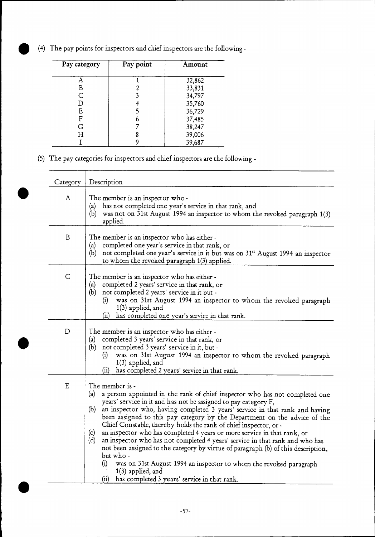(4) The pay points for inspectors and chief inspectors are the following -

 $\overline{\phantom{0}}$ 

| Pay category | Pay point | Amount |
|--------------|-----------|--------|
|              |           | 32,862 |
| B            |           | 33,831 |
| Ć            |           | 34,797 |
| D            |           | 35,760 |
| E            |           | 36,729 |
| F            | 6         | 37,485 |
| G            |           | 38,247 |
| Н            |           | 39,006 |
|              |           | 39,687 |

(5) The pay categories for inspectors and chief inspectors are the following -

| Category     | Description                                                                                                                                                                                                                                                                                                                                                                                                                                                                                                                                                                                                                                                                                                                                                                                                                                           |
|--------------|-------------------------------------------------------------------------------------------------------------------------------------------------------------------------------------------------------------------------------------------------------------------------------------------------------------------------------------------------------------------------------------------------------------------------------------------------------------------------------------------------------------------------------------------------------------------------------------------------------------------------------------------------------------------------------------------------------------------------------------------------------------------------------------------------------------------------------------------------------|
| $\mathbf{A}$ | The member is an inspector who-<br>has not completed one year's service in that rank, and<br>(a)<br>(b)<br>was not on 31st August 1994 an inspector to whom the revoked paragraph 1(3)<br>applied.                                                                                                                                                                                                                                                                                                                                                                                                                                                                                                                                                                                                                                                    |
| B            | The member is an inspector who has either -<br>completed one year's service in that rank, or<br>(a)<br>not completed one year's service in it but was on 31 <sup>st</sup> August 1994 an inspector<br>(b)<br>to whom the revoked paragraph 1(3) applied.                                                                                                                                                                                                                                                                                                                                                                                                                                                                                                                                                                                              |
| $\mathsf C$  | The member is an inspector who has either -<br>completed 2 years' service in that rank, or<br>(a)<br>(b) not completed 2 years' service in it but -<br>was on 31st August 1994 an inspector to whom the revoked paragraph<br>(i)<br>$1(3)$ applied, and<br>has completed one year's service in that rank.<br>(ii)                                                                                                                                                                                                                                                                                                                                                                                                                                                                                                                                     |
| $\mathbf D$  | The member is an inspector who has either-<br>completed 3 years' service in that rank, or<br>(a)<br>not completed 3 years' service in it, but -<br>(b)<br>was on 31st August 1994 an inspector to whom the revoked paragraph<br>(i)<br>$1(3)$ applied, and<br>has completed 2 years' service in that rank.<br>(ii)                                                                                                                                                                                                                                                                                                                                                                                                                                                                                                                                    |
| E            | The member is -<br>(a)<br>a person appointed in the rank of chief inspector who has not completed one<br>years' service in it and has not be assigned to pay category F,<br>(b)<br>an inspector who, having completed 3 years' service in that rank and having<br>been assigned to this pay category by the Department on the advice of the<br>Chief Constable, thereby holds the rank of chief inspector, or -<br>an inspector who has completed 4 years or more service in that rank, or<br>(c)<br>(d)<br>an inspector who has not completed 4 years' service in that rank and who has<br>not been assigned to the category by virtue of paragraph (b) of this description,<br>but who-<br>(i)<br>was on 31st August 1994 an inspector to whom the revoked paragraph<br>$1(3)$ applied, and<br>has completed 3 years' service in that rank.<br>(ii) |

•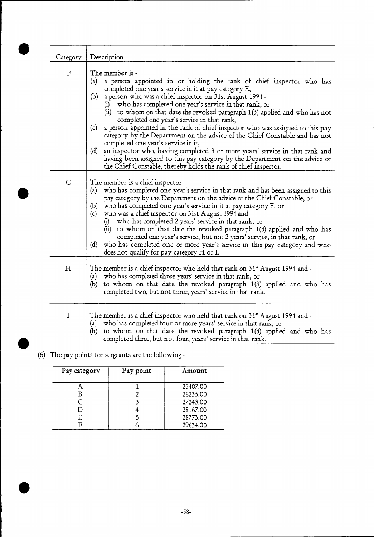| Category | Description                                                                                                                                                                                                                                                                                                                                                                                                                                                                                                                                                                                                                                                                                                                                                                                                                                                                      |
|----------|----------------------------------------------------------------------------------------------------------------------------------------------------------------------------------------------------------------------------------------------------------------------------------------------------------------------------------------------------------------------------------------------------------------------------------------------------------------------------------------------------------------------------------------------------------------------------------------------------------------------------------------------------------------------------------------------------------------------------------------------------------------------------------------------------------------------------------------------------------------------------------|
| F        | The member is -<br>a person appointed in or holding the rank of chief inspector who has<br>(a)<br>completed one year's service in it at pay category E,<br>(b) a person who was a chief inspector on 31st August 1994 -<br>who has completed one year's service in that rank, or<br>(i)<br>(ii) to whom on that date the revoked paragraph $1(3)$ applied and who has not<br>completed one year's service in that rank,<br>a person appointed in the rank of chief inspector who was assigned to this pay<br>(c)<br>category by the Department on the advice of the Chief Constable and has not<br>completed one year's service in it,<br>an inspector who, having completed 3 or more years' service in that rank and<br>(d)<br>having been assigned to this pay category by the Department on the advice of<br>the Chief Constable, thereby holds the rank of chief inspector. |
| G        | The member is a chief inspector -<br>who has completed one year's service in that rank and has been assigned to this<br>(a)<br>pay category by the Department on the advice of the Chief Constable, or<br>(b) who has completed one year's service in it at pay category F, or<br>(c) who was a chief inspector on 31st August 1994 and -<br>who has completed 2 years' service in that rank, or<br>(i)<br>(ii) to whom on that date the revoked paragraph 1(3) applied and who has<br>completed one year's service, but not 2 years' service, in that rank, or<br>who has completed one or more year's service in this pay category and who<br>(d)<br>does not qualify for pay category H or I.                                                                                                                                                                                 |
| Η        | The member is a chief inspector who held that rank on 31 <sup>st</sup> August 1994 and -<br>(a) who has completed three years' service in that rank, or<br>to whom on that date the revoked paragraph 1(3) applied and who has<br>(b)<br>completed two, but not three, years' service in that rank.                                                                                                                                                                                                                                                                                                                                                                                                                                                                                                                                                                              |
| I        | The member is a chief inspector who held that rank on 31 <sup>st</sup> August 1994 and -<br>who has completed four or more years' service in that rank, or<br>(a)<br>to whom on that date the revoked paragraph 1(3) applied and who has<br>(b)<br>completed three, but not four, years' service in that rank.                                                                                                                                                                                                                                                                                                                                                                                                                                                                                                                                                                   |

(6) The pay points for sergeants are the following -

| Pay category | Pay point | Amount   |
|--------------|-----------|----------|
|              |           | 25407.00 |
| B            |           | 26235.00 |
|              |           | 27243.00 |
| D            |           | 28167.00 |
| F            |           | 28773.00 |
|              |           | 29634.00 |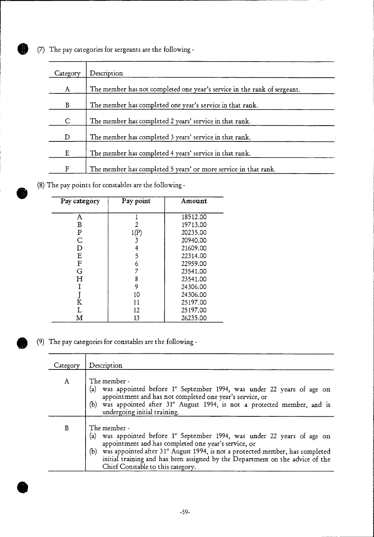0 (7) The pay categories for sergeants are the following -

| Category | Description                                                              |
|----------|--------------------------------------------------------------------------|
| A        | The member has not completed one year's service in the rank of sergeant. |
| B        | The member has completed one year's service in that rank.                |
| C        | The member has completed 2 years' service in that rank.                  |
| D        | The member has completed 3 years' service in that rank.                  |
| E        | The member has completed 4 years' service in that rank.                  |
| F        | The member has completed 5 years' or more service in that rank.          |

(8) The pay points for constables are the following -

| Pay category | Pay point | Amount   |
|--------------|-----------|----------|
| A            |           | 18512.00 |
| B            | 2         | 19713.00 |
| P            | 1(P)      | 20235.00 |
| С            |           | 20940.00 |
| D            |           | 21609.00 |
| E            | 5         | 22314.00 |
| F            | 6         | 22959.00 |
| G            |           | 23541.00 |
| Н            | 8         | 23541.00 |
|              | 9         | 24306.00 |
|              | 10        | 24306.00 |
| $\bf K$      | 11        | 25197.00 |
|              | 12        | 25197.00 |
| м            | 13        | 26235.00 |

(9) The pay categories for constables are the following -

•

**•** 

| Category | Description                                                                                                                                                                                                                                                                                                                                                               |
|----------|---------------------------------------------------------------------------------------------------------------------------------------------------------------------------------------------------------------------------------------------------------------------------------------------------------------------------------------------------------------------------|
| A        | The member -<br>(a) was appointed before 1st September 1994, was under 22 years of age on<br>appointment and has not completed one year's service, or<br>(b) was appointed after 31 <sup>st</sup> August 1994, is not a protected member, and is<br>undergoing initial training.                                                                                          |
| B        | The member -<br>(a) was appointed before 1st September 1994, was under 22 years of age on<br>appointment and has completed one year's service, or<br>(b) was appointed after 31 <sup>st</sup> August 1994, is not a protected member, has completed<br>initial training and has been assigned by the Department on the advice of the<br>Chief Constable to this category. |

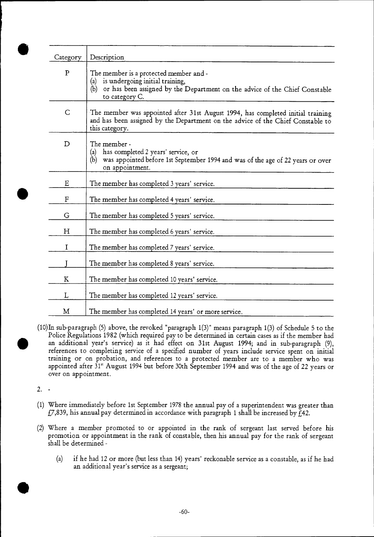| Category    | Description                                                                                                                                                                              |
|-------------|------------------------------------------------------------------------------------------------------------------------------------------------------------------------------------------|
| $\mathbf P$ | The member is a protected member and -<br>is undergoing initial training,<br>(a)<br>or has been assigned by the Department on the advice of the Chief Constable<br>(b)<br>to category C. |
| C           | The member was appointed after 31st August 1994, has completed initial training<br>and has been assigned by the Department on the advice of the Chief Constable to<br>this category.     |
| D           | The member -<br>has completed 2 years' service, or<br>(a)<br>was appointed before 1st September 1994 and was of the age of 22 years or over<br>(b)<br>on appointment.                    |
| E           | The member has completed 3 years' service.                                                                                                                                               |
| ${\bf F}$   | The member has completed 4 years' service.                                                                                                                                               |
| G           | The member has completed 5 years' service.                                                                                                                                               |
| н           | The member has completed 6 years' service.                                                                                                                                               |
| I           | The member has completed 7 years' service.                                                                                                                                               |
|             | The member has completed 8 years' service.                                                                                                                                               |
| K           | The member has completed 10 years' service.                                                                                                                                              |
| L           | The member has completed 12 years' service.                                                                                                                                              |
| M           | The member has completed 14 years' or more service.                                                                                                                                      |

(10)In sub-paragraph (5) above, the revoked "paragraph 1(3)" means paragraph 1(3) of Schedule 5 to the Police Regulations 1982 (which required pay to be determined in certain cases as if the member had an additional year's service) as it had effect on 31st August 1994; and in sub-paragraph (9), references to completing service of a specified number of years include service spent on initial training or on probation, and references to a protected member are to a member who was appointed after 31" August 1994 but before 30th September 1994 and was of the age of 22 years or over on appointment.

2. -

- (1) Where immediately before 1st September 1978 the annual pay of a superintendent was greater than  $f(7,839, h$  is annual pay determined in accordance with paragraph 1 shall be increased by  $f(42.1)$
- (2) Where a member promoted to or appointed in the rank of sergeant last served before his promotion or appointment in the rank of constable, then his annual pay for the rank of sergeant shall be determined -
	- (a) if he had 12 or more (but less than 14) years' reckonable service as a constable, as if he had an additional year's service as a sergeant;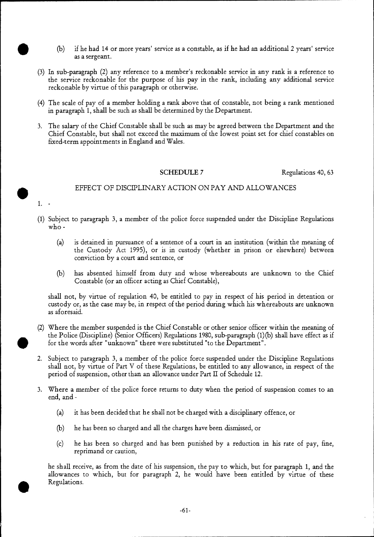- 0 (b) if he had 14 or more years' service as a constable, as if he had an additional 2 years' service as a sergeant.
- (3) In sub-paragraph (2) any reference to a member's reckonable service in any rank is a reference to the service reckonable for the purpose of his pay in the rank, including any additional service reckonable by virtue of this paragraph or otherwise.
- (4) The scale of pay of a member holding a rank above that of constable, not being a rank mentioned in paragraph 1, shall be such as shall be determined by the Department.
- 3. The salary of the Chief Constable shall be such as may be agreed between the Department and the Chief Constable, but shall not exceed the maximum of the lowest point set for chief constables on fixed-term appointments in England and Wales.

SCHEDULE 7 Regulations 40, 63

#### EFFECT OF DISCIPLINARY ACTION ON PAY AND ALLOWANCES

- 1.
- (1) Subject to paragraph 3, a member of the police force suspended under the Discipline Regulations who -
	- (a) is detained in pursuance of a sentence of a court in an institution (within the meaning of the Custody Act 1995), or is in custody (whether in prison or elsewhere) between conviction by a court and sentence, or
	- (b) has absented himself from duty and whose whereabouts are unknown to the Chief Constable (or an officer acting as Chief Constable),

shall not, by virtue of regulation 40, be entitled to pay in respect of his period in detention or custody or, as the case may be, in respect of the period during which his whereabouts are unknown as aforesaid.

- (2) Where the member suspended is the Chief Constable or other senior officer within the meaning of the Police (Discipline) (Senior Officers) Regulations 1980, sub-paragraph (1) (b) shall have effect as if for the words after "unknown" there were substituted "to the Department".
- 2. Subject to paragraph 3, a member of the police force suspended under the Discipline Regulations shall not, by virtue of Part V of these Regulations, be entitled to any allowance, in respect of the period of suspension, other than an allowance under Part II of Schedule 12.
- 3. Where a member of the police force returns to duty when the period of suspension comes to an end, and -
	- (a) it has been decided that he shall not be charged with a disciplinary offence, or
	- (b) he has been so charged and all the charges have been dismissed, or
	- (c) he has been so charged and has been punished by a reduction in his rate of pay, fine, reprimand or caution,

he shall receive, as from the date of his suspension, the pay to which, but for paragraph 1, and the allowances to which, but for paragraph 2, he would have been entitled by virtue of these Regulations.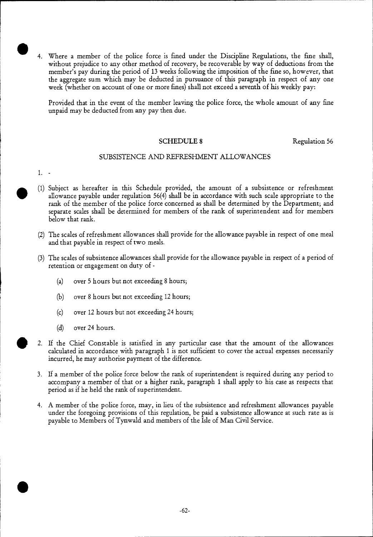4. Where a member of the police force is fined under the Discipline Regulations, the fine shall, without prejudice to any other method of recovery, be recoverable by way of deductions from the member's pay during the period of 13 weeks following the imposition of the fine so, however, that the aggregate sum which may be deducted in pursuance of this paragraph in respect of any one week (whether on account of one or more fines) shall not exceed a seventh of his weekly pay:

Provided that in the event of the member leaving the police force, the whole amount of any fine unpaid may be deducted from any pay then due.

#### SCHEDULE 8 Regulation 56

#### SUBSISTENCE AND REFRESHMENT ALLOWANCES

1.

- (1) Subject as hereafter in this Schedule provided, the amount of a subsistence or refreshment allowance payable under regulation 56(4) shall be in accordance with such scale appropriate to the rank of the member of the police force concerned as shall be determined by the Department; and separate scales shall be determined for members of the rank of superintendent and for members below that rank.
- (2) The scales of refreshment allowances shall provide for the allowance payable in respect of one meal and that payable in respect of two meals.
- (3) The scales of subsistence allowances shall provide for the allowance payable in respect of a period of retention or engagement on duty of -
	- (a) over 5 hours but not exceeding 8 hours;
	- (b) over 8 hours but not exceeding 12 hours;
	- (c) over 12 hours but not exceeding 24 hours;
	- (d) over 24 hours.
- 

2. If the Chief Constable is satisfied in any particular case that the amount of the allowances calculated in accordance with paragraph 1 is not sufficient to cover the actual expenses necessarily incurred, he may authorise payment of the difference.

- 3. If a member of the police force below the rank of superintendent is required during any period to accompany a member of that or a higher rank, paragraph 1 shall apply to his case as respects that period as if he held the rank of superintendent.
- 4. A member of the police force, may, in lieu of the subsistence and refreshment allowances payable under the foregoing provisions of this regulation, be paid a subsistence allowance at such rate as is payable to Members of Tynwald and members of the Isle of Man Civil Service.

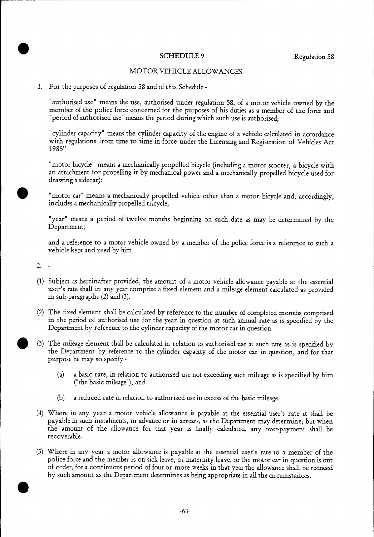#### SCHEDULE 9 Regulation 58

#### MOTOR VEHICLE ALLOWANCES

#### 1. For the purposes of regulation 58 and of this Schedule -

"authorised use" means the use, authorised under regulation 58, of a motor vehicle owned by the member of the police force concerned for the purposes of his duties as a member of the force and "period of authorised use" means the period during which such use is authorised;

"cylinder capacity" means the cylinder capacity of the engine of a vehicle calculated in accordance with regulations from time to time in force under the Licensing and Registration of Vehicles Act 1985"

"motor bicycle" means a mechanically propelled bicycle (including a motor scooter, a bicycle with an attachment for propelling it by mechanical power and a mechanically propelled bicycle used for drawing a sidecar);

"motor car" means a mechanically propelled vehicle other than a motor bicycle and, accordingly, includes a mechanically propelled tricycle;

"year" means a period of twelve months beginning on such date as may be determined by the Department;

and a reference to a motor vehicle owned by a member of the police force is a reference to such a vehicle kept and used by him.

2.

- (1) Subject as hereinafter provided, the amount of a motor vehicle allowance payable at the essential user's rate shall in any year comprise a fixed element and a mileage element calculated as provided in sub-paragraphs (2) and (3).
- (2) The fixed element shall be calculated by reference to the number of completed months comprised in the period of authorised use for the year in question at such annual rate as is specified by the Department by reference to the cylinder capacity of the motor car in question.
- **• (3)** The mileage element shall be calculated in relation to authorised use at such rate as is specified by the Department by reference to the cylinder capacity of the motor car in question, and for that purpose he may so specify -
	- (a) a basic rate, in relation to authorised use not exceeding such mileage as is specified by him ("the basic mileage"), and
	- (b) a reduced rate in relation to authorised use in excess of the basic mileage.
- (4) Where in any year a motor vehicle allowance is payable at the essential user's rate it shall be payable in such instalments, in advance or in arrears, as the Department may determine; but when the amount of the allowance for that year is finally calculated, any over-payment shall be recoverable.
- (5) Where in any year a motor allowance is payable at the essential user's rate to a member of the • police force and the member is on sick leave, or maternity leave, or the motor car in question is out of order, for a continuous period of four or more weeks in that year the allowance shall be reduced by such amount as the Department determines as being appropriate in all the circumstances.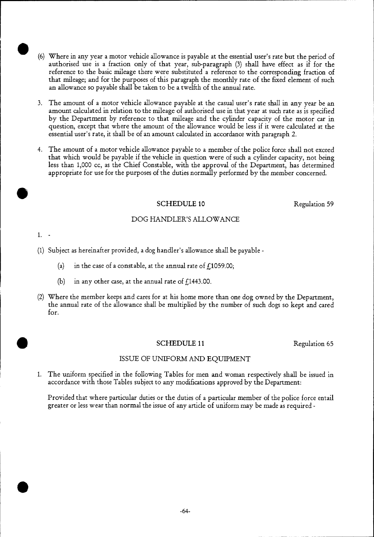- (6) Where in any year a motor vehicle allowance is payable at the essential user's rate but the period of authorised use is a fraction only of that year, sub-paragraph (3) shall have effect as if for the reference to the basic mileage there were substituted a reference to the corresponding fraction of that mileage; and for the purposes of this paragraph the monthly rate of the fixed element of such an allowance so payable shall be taken to be a twelfth of the annual rate.
- 3. The amount of a motor vehicle allowance payable at the casual user's rate shall in any year be an amount calculated in relation to the mileage of authorised use in that year at such rate as is specified by the Department by reference to that mileage and the cylinder capacity of the motor car in question, except that where the amount of the allowance would be less if it were calculated at the essential user's rate, it shall be of an amount calculated in accordance with paragraph 2.
- 4. The amount of a motor vehicle allowance payable to a member of the police force shall not exceed that which would be payable if the vehicle in question were of such a cylinder capacity, not being less than 1,000 cc, as the Chief Constable, with the approval of the Department, has determined appropriate for use for the purposes of the duties normally performed by the member concerned.

#### SCHEDULE 10 Regulation 59

#### DOG HANDLER'S ALLOWANCE

1. -

- (1) Subject as hereinafter provided, a dog handler's allowance shall be payable
	- (a) in the case of a constable, at the annual rate of  $f<sub>1</sub>1059.00$ ;
	- (b) in any other case, at the annual rate of  $f(1443.00)$ .
- (2) Where the member keeps and cares for at his home more than one dog owned by the Department, the annual rate of the allowance shall be multiplied by the number of such dogs so kept and cared for.

#### SCHEDULE 11 Regulation 65

#### ISSUE OF UNIFORM AND EQUIPMENT

1. The uniform specified in the following Tables for men and woman respectively shall be issued in accordance with those Tables subject to any modifications approved by the Department:

Provided that where particular duties or the duties of a particular member of the police force entail greater or less wear than normal the issue of any article of uniform may be made as required -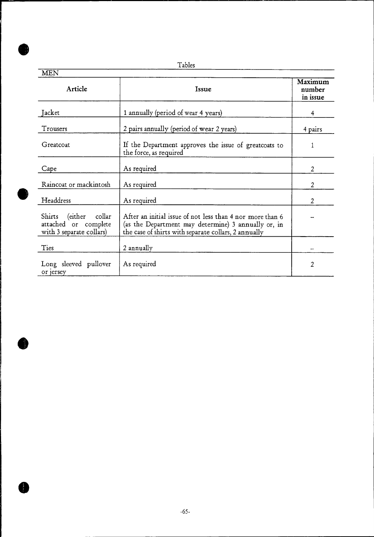Tables

R

| <b>MEN</b>                                                                   |                                                                                                                                                                          |                               |  |  |
|------------------------------------------------------------------------------|--------------------------------------------------------------------------------------------------------------------------------------------------------------------------|-------------------------------|--|--|
| Article                                                                      | Issue                                                                                                                                                                    | Maximum<br>number<br>in issue |  |  |
| Jacket                                                                       | 1 annually (period of wear 4 years)                                                                                                                                      | 4                             |  |  |
| Trousers                                                                     | 2 pairs annually (period of wear 2 years)                                                                                                                                | 4 pairs                       |  |  |
| Greatcoat                                                                    | If the Department approves the issue of greatcoats to<br>the force, as required                                                                                          |                               |  |  |
| Cape                                                                         | As required                                                                                                                                                              | $\overline{2}$                |  |  |
| Raincoat or mackintosh                                                       | As required                                                                                                                                                              | $\overline{2}$                |  |  |
| Headdress                                                                    | As required                                                                                                                                                              | $\overline{2}$                |  |  |
| Shirts (either<br>collar<br>attached or complete<br>with 3 separate collars) | After an initial issue of not less than 4 nor more than 6<br>(as the Department may determine) 3 annually or, in<br>the case of shirts with separate collars, 2 annually |                               |  |  |
| Ties                                                                         | 2 annually                                                                                                                                                               |                               |  |  |
| Long sleeved pullover<br>or jersey                                           | As required                                                                                                                                                              | 2                             |  |  |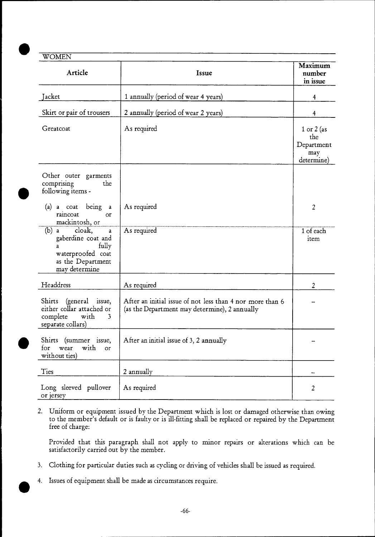# **WOMEN**

| <b>OMTTA</b><br>Article                                                                                            | Issue                                                                                                      | Maximum<br>number<br>in issue                        |
|--------------------------------------------------------------------------------------------------------------------|------------------------------------------------------------------------------------------------------------|------------------------------------------------------|
| Jacket                                                                                                             | 1 annually (period of wear 4 years)                                                                        | 4                                                    |
| Skirt or pair of trousers                                                                                          | 2 annually (period of wear 2 years)                                                                        | $\overline{\mathbf{4}}$                              |
| Greatcoat                                                                                                          | As required                                                                                                | 1 or 2 (as<br>the<br>Department<br>may<br>determine) |
| Other outer garments<br>comprising<br>the<br>following items -                                                     |                                                                                                            |                                                      |
| (a) a coat being a<br>raincoat<br>or<br>mackintosh, or                                                             | As required                                                                                                | $\overline{2}$                                       |
| $(b)$ a cloak,<br>a<br>gaberdine coat and<br>fully<br>a<br>waterproofed coat<br>as the Department<br>may determine | As required                                                                                                | 1 of each<br>item                                    |
| Headdress                                                                                                          | As required                                                                                                | $\overline{2}$                                       |
| Shirts (general issue,<br>either collar attached or<br>complete<br>$\mathbf{with}$<br>3<br>separate collars)       | After an initial issue of not less than 4 nor more than 6<br>(as the Department may determine), 2 annually |                                                      |
| Shirts (summer issue,<br>with<br>for<br>wear<br>or<br>without ties)                                                | After an initial issue of 3, 2 annually                                                                    |                                                      |
| Ties                                                                                                               | 2 annually                                                                                                 |                                                      |
| Long sleeved pullover<br>or jersey                                                                                 | As required                                                                                                | 2                                                    |

2. Uniform or equipment issued by the Department which is lost or damaged otherwise than owing to the member's default or is faulty or is ill-fitting shall be replaced or repaired by the Department free of charge:

Provided that this paragraph shall not apply to minor repairs or alterations which can be satisfactorily carried out by the member.

- 3. Clothing for particular duties such as cycling or driving of vehicles shall be issued as required.
- $\bullet$   $\bullet$ 4. Issues of equipment shall be made as circumstances require.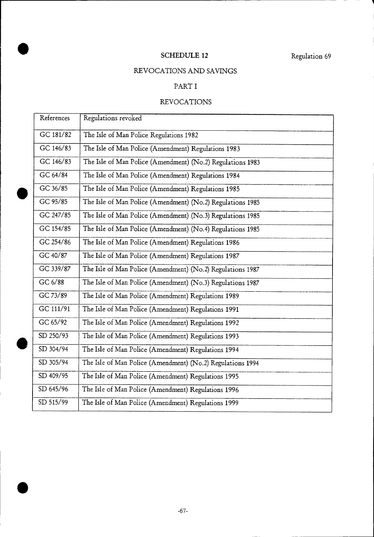# SCHEDULE 12 Regulation 69

# REVOCATIONS AND SAVINGS

# PART I

# REVOCATIONS

| References | Regulations revoked                                        |
|------------|------------------------------------------------------------|
| GC 181/82  | The Isle of Man Police Regulations 1982                    |
| GC 146/83  | The Isle of Man Police (Amendment) Regulations 1983        |
| GC 146/83  | The Isle of Man Police (Amendment) (No.2) Regulations 1983 |
| GC 64/84   | The Isle of Man Police (Amendment) Regulations 1984        |
| GC 36/85   | The Isle of Man Police (Amendment) Regulations 1985        |
| GC 95/85   | The Isle of Man Police (Amendment) (No.2) Regulations 1985 |
| GC 247/85  | The Isle of Man Police (Amendment) (No.3) Regulations 1985 |
| GC 154/85  | The Isle of Man Police (Amendment) (No.4) Regulations 1985 |
| GC 254/86  | The Isle of Man Police (Amendment) Regulations 1986        |
| GC 40/87   | The Isle of Man Police (Amendment) Regulations 1987        |
| GC 339/87  | The Isle of Man Police (Amendment) (No.2) Regulations 1987 |
| GC 6/88    | The Isle of Man Police (Amendment) (No.3) Regulations 1987 |
| GC 73/89   | The Isle of Man Police (Amendment) Regulations 1989        |
| GC 111/91  | The Isle of Man Police (Amendment) Regulations 1991        |
| GC 65/92   | The Isle of Man Police (Amendment) Regulations 1992        |
| SD 250/93  | The Isle of Man Police (Amendment) Regulations 1993        |
| SD 304/94  | The Isle of Man Police (Amendment) Regulations 1994        |
| SD 305/94  | The Isle of Man Police (Amendment) (No.2) Regulations 1994 |
| SD 409/95  | The Isle of Man Police (Amendment) Regulations 1995        |
| SD 645/96  | The Isle of Man Police (Amendment) Regulations 1996        |
| SD 515/99  | The Isle of Man Police (Amendment) Regulations 1999        |

•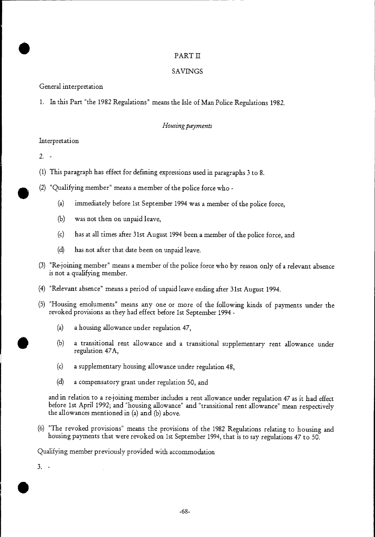#### PART II

#### SAVINGS

General interpretation

1. In this Part "the 1982 Regulations" means the Isle of Man Police Regulations 1982.

#### *Housing payments*

#### Interpretation

 $2. -$ 

- (1) This paragraph has effect for defining expressions used in paragraphs 3 to 8.
- $\bullet$ (2) "Qualifying member" means a member of the police force who -
	- (a) immediately before 1st September 1994 was a member of the police force,
	- (b) was not then on unpaid leave,
	- (c) has at all times after 31st August 1994 been a member of the police force, and
	- (d) has not after that date been on unpaid leave.
	- "Re-joining member" means a member of the police force who by reason only of a relevant absence (3) is not a qualifying member.
	- (4) "Relevant absence" means a period of unpaid leave ending after 31st August 1994.
	- "Housing emoluments" means any one or more of the following kinds of payments under the (5) revoked provisions as they had effect before 1st September 1994 -
		- (a) a housing allowance under regulation 47,
		- (b) a transitional rent allowance and a transitional supplementary rent allowance under regulation 47A,
		- (c) a supplementary housing allowance under regulation 48,
		- (d) a compensatory grant under regulation 50, and

and in relation to a re-joining member includes a rent allowance under regulation 47 as it had effect before 1st April 1992; and "housing allowance" and "transitional rent allowance" mean respectively the allowances mentioned in (a) and (b) above.

(6) "The revoked provisions" means the provisions of the 1982 Regulations relating to housing and housing payments that were revoked on 1st September 1994, that is to say regulations 47 to 50.

Qualifying member previously provided with accommodation

3. - •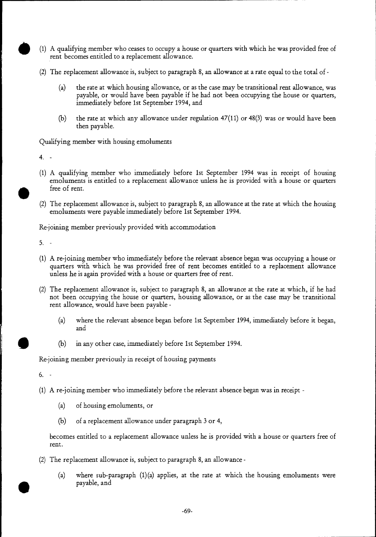- (1) A qualifying member who ceases to occupy a house or quarters with which he was provided free of rent becomes entitled to a replacement allowance.
- (2) The replacement allowance is, subject to paragraph 8, an allowance at a rate equal to the total of
	- (a) the rate at which housing allowance, or as the case may be transitional rent allowance, was payable, or would have been payable if he had not been occupying the house or quarters, immediately before 1st September 1994, and
	- (b) the rate at which any allowance under regulation  $47(11)$  or  $48(3)$  was or would have been then payable.

Qualifying member with housing emoluments

4.

- (1) A qualifying member who immediately before 1st September 1994 was in receipt of housing emoluments is entitled to a replacement allowance unless he is provided with a house or quarters free of rent.
- (2) The replacement allowance is, subject to paragraph 8, an allowance at the rate at which the housing emoluments were payable immediately before 1st September 1994.

Re-joining member previously provided with accommodation

5.

- (1) A re-joining member who immediately before the relevant absence began was occupying a house or quarters with which he was provided free of rent becomes entitled to a replacement allowance unless he is again provided with a house or quarters free of rent.
- (2) The replacement allowance is, subject to paragraph 8, an allowance at the rate at which, if he had not been occupying the house or quarters, housing allowance, or as the case may be transitional rent allowance, would have been payable -
	- (a) where the relevant absence began before 1st September 1994, immediately before it began, and
	- (b) in any other case, immediately before 1st September 1994.

Re-joining member previously in receipt of housing payments

6.

- (1) A re-joining member who immediately before the relevant absence began was in receipt
	- (a) of housing emoluments, or
	- (b) of a replacement allowance under paragraph 3 or 4,

becomes entitled to a replacement allowance unless he is provided with a house or quarters free of rent.

- (2) The replacement allowance is, subject to paragraph 8, an allowance
	- (a) where sub-paragraph  $(1)(a)$  applies, at the rate at which the housing emoluments were payable, and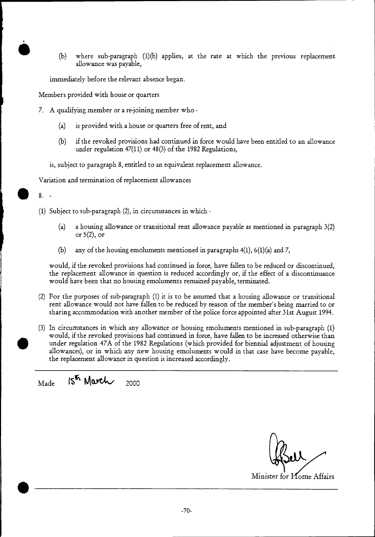(b) where sub-paragraph (1)(b) applies, at the rate at which the previous replacement allowance was payable,

immediately before the relevant absence began.

Members provided with house or quarters

- 7. A qualifying member or a re-joining member who
	- (a) is provided with a house or quarters free of rent, and
	- (b) if the revoked provisions had continued in force would have been entitled to an allowance under regulation 47(11) or 48(3) of the 1982 Regulations,
	- is, subject to paragraph 8, entitled to an equivalent replacement allowance.

Variation and termination of replacement allowances

8.

(1) Subject to sub-paragraph (2), in circumstances in which -

- (a) a housing allowance or transitional rent allowance payable as mentioned in paragraph 3(2) or 5(2), or
- (b) any of the housing emoluments mentioned in paragraphs  $4(1)$ ,  $6(1)(a)$  and 7,

would, if the revoked provisions had continued in force, have fallen to be reduced or discontinued, the replacement allowance in question is reduced accordingly or, if the effect of a discontinuance would have been that no housing emoluments remained payable, terminated.

- (2) For the purposes of sub-paragraph (1) it is to be assumed that a housing allowance or transitional rent allowance would not have fallen to be reduced by reason of the member's being married to or sharing accommodation with another member of the police force appointed after 31st August 1994.
- (3) In circumstances in which any allowance or housing emoluments mentioned in sub-paragraph (1) would, if the revoked provisions had continued in force, have fallen to be increased otherwise than under regulation 47A of the 1982 Regulations (which provided for biennial adjustment of housing allowances), or in which any new housing emoluments would in that case have become payable, the replacement allowance in question is increased accordingly.

 $\text{Made}$   $\text{IS}^{\text{K}}$  March  $_{2000}$ 

Minister for Home Affairs